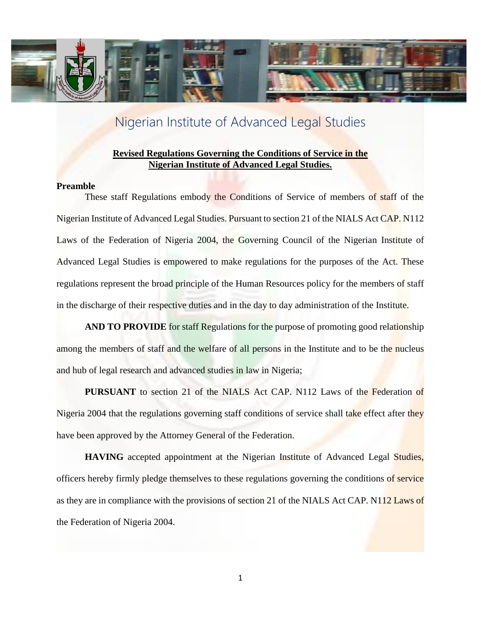

# Nigerian Institute of Advanced Legal Studies

### **Revised Regulations Governing the Conditions of Service in the Nigerian Institute of Advanced Legal Studies.**

### **Preamble**

These staff Regulations embody the Conditions of Service of members of staff of the Nigerian Institute of Advanced Legal Studies. Pursuant to section 21 of the NIALS Act CAP. N112 Laws of the Federation of Nigeria 2004, the Governing Council of the Nigerian Institute of Advanced Legal Studies is empowered to make regulations for the purposes of the Act. These regulations represent the broad principle of the Human Resources policy for the members of staff in the discharge of their respective duties and in the day to day administration of the Institute.

**AND TO PROVIDE** for staff Regulations for the purpose of promoting good relationship among the members of staff and the welfare of all persons in the Institute and to be the nucleus and hub of legal research and advanced studies in law in Nigeria;

**PURSUANT** to section 21 of the NIALS Act CAP. N112 Laws of the Federation of Nigeria 2004 that the regulations governing staff conditions of service shall take effect after they have been approved by the Attorney General of the Federation.

**HAVING** accepted appointment at the Nigerian Institute of Advanced Legal Studies, officers hereby firmly pledge themselves to these regulations governing the conditions of service as they are in compliance with the provisions of section 21 of the NIALS Act CAP. N112 Laws of the Federation of Nigeria 2004.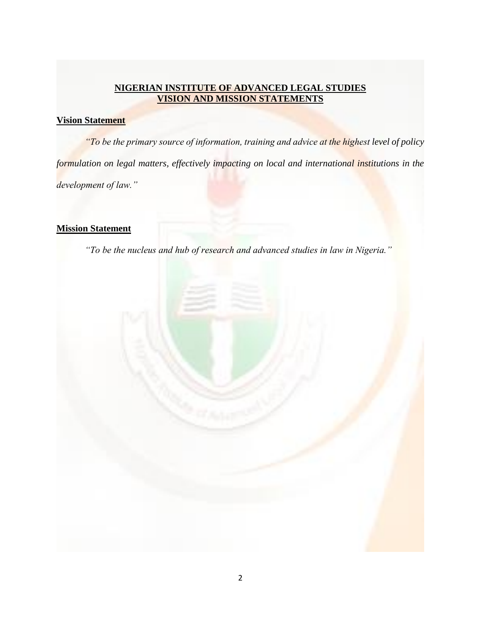### **NIGERIAN INSTITUTE OF ADVANCED LEGAL STUDIES VISION AND MISSION STATEMENTS**

### **Vision Statement**

*"To be the primary source of information, training and advice at the highest level of policy formulation on legal matters, effectively impacting on local and international institutions in the development of law."*

### **Mission Statement**

*"To be the nucleus and hub of research and advanced studies in law in Nigeria."*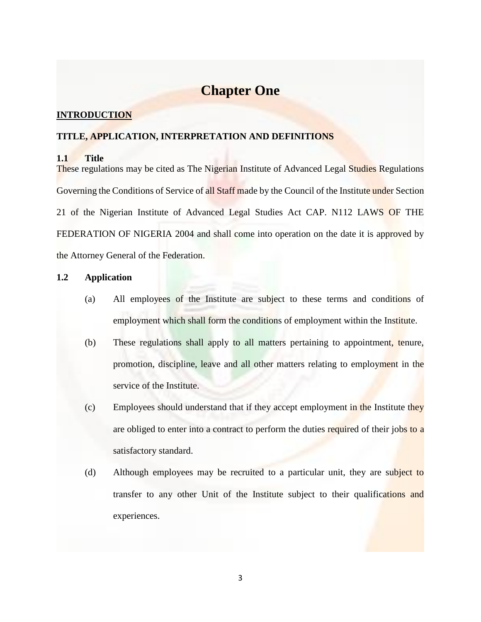# **Chapter One**

### **INTRODUCTION**

### **TITLE, APPLICATION, INTERPRETATION AND DEFINITIONS**

### **1.1 Title**

These regulations may be cited as The Nigerian Institute of Advanced Legal Studies Regulations Governing the Conditions of Service of all Staff made by the Council of the Institute under Section 21 of the Nigerian Institute of Advanced Legal Studies Act CAP. N112 LAWS OF THE FEDERATION OF NIGERIA 2004 and shall come into operation on the date it is approved by the Attorney General of the Federation.

### **1.2 Application**

- (a) All employees of the Institute are subject to these terms and conditions of employment which shall form the conditions of employment within the Institute.
- (b) These regulations shall apply to all matters pertaining to appointment, tenure, promotion, discipline, leave and all other matters relating to employment in the service of the Institute.
- (c) Employees should understand that if they accept employment in the Institute they are obliged to enter into a contract to perform the duties required of their jobs to a satisfactory standard.
- (d) Although employees may be recruited to a particular unit, they are subject to transfer to any other Unit of the Institute subject to their qualifications and experiences.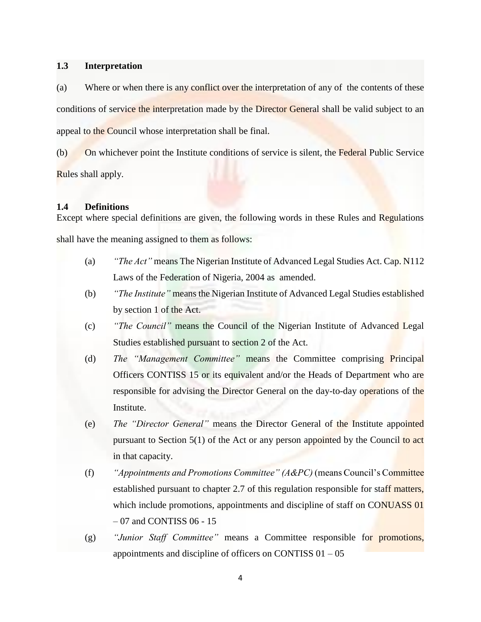### **1.3 Interpretation**

(a) Where or when there is any conflict over the interpretation of any of the contents of these conditions of service the interpretation made by the Director General shall be valid subject to an appeal to the Council whose interpretation shall be final.

(b) On whichever point the Institute conditions of service is silent, the Federal Public Service Rules shall apply.

### **1.4 Definitions**

Except where special definitions are given, the following words in these Rules and Regulations shall have the meaning assigned to them as follows:

- (a) *"The Act"* means The Nigerian Institute of Advanced Legal Studies Act. Cap. N112 Laws of the Federation of Nigeria, 2004 as amended.
- (b) *"The Institute"* means the Nigerian Institute of Advanced Legal Studies established by section 1 of the Act.
- (c) *"The Council"* means the Council of the Nigerian Institute of Advanced Legal Studies established pursuant to section 2 of the Act.
- (d) *The "Management Committee"* means the Committee comprising Principal Officers CONTISS 15 or its equivalent and/or the Heads of Department who are responsible for advising the Director General on the day-to-day operations of the Institute.
- (e) *The "Director General"* means the Director General of the Institute appointed pursuant to Section 5(1) of the Act or any person appointed by the Council to act in that capacity.
- (f) *"Appointments and Promotions Committee" (A&PC)* (means Council's Committee established pursuant to chapter 2.7 of this regulation responsible for staff matters, which include promotions, appointments and discipline of staff on CONUASS 01 – 07 and CONTISS 06 - 15
- (g) *"Junior Staff Committee"* means a Committee responsible for promotions, appointments and discipline of officers on CONTISS  $01 - 05$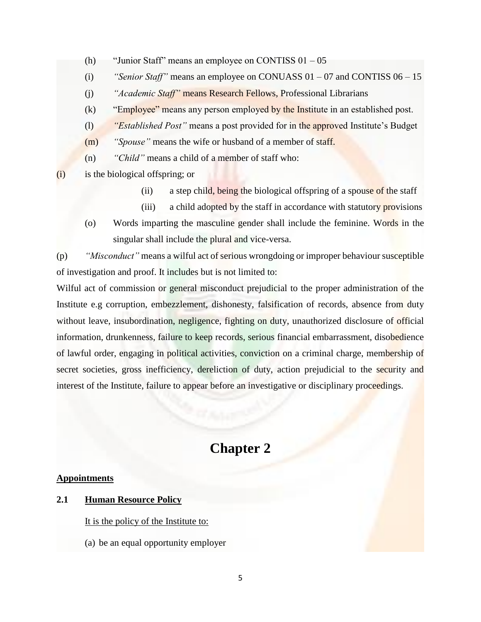- (h) "Junior Staff" means an employee on CONTISS  $01 05$
- (i) *"Senior Staff"* means an employee on CONUASS 01 07 and CONTISS 06 15
- (j) *"Academic Staff"* means Research Fellows, Professional Librarians
- (k) "Employee" means any person employed by the Institute in an established post.
- (l) *"Established Post"* means a post provided for in the approved Institute's Budget
- (m) *"Spouse"* means the wife or husband of a member of staff.
- (n) *"Child"* means a child of a member of staff who:
- (i) is the biological offspring; or
	- (ii) a step child, being the biological offspring of a spouse of the staff
	- (iii) a child adopted by the staff in accordance with statutory provisions
	- (o) Words imparting the masculine gender shall include the feminine. Words in the singular shall include the plural and vice-versa.

(p) *"Misconduct"* means a wilful act of serious wrongdoing or improper behaviour susceptible of investigation and proof. It includes but is not limited to:

Wilful act of commission or general misconduct prejudicial to the proper administration of the Institute e.g corruption, embezzlement, dishonesty, falsification of records, absence from duty without leave, insubordination, negligence, fighting on duty, unauthorized disclosure of official information, drunkenness, failure to keep records, serious financial embarrassment, disobedience of lawful order, engaging in political activities, conviction on a criminal charge, membership of secret societies, gross inefficiency, dereliction of duty, action prejudicial to the security and interest of the Institute, failure to appear before an investigative or disciplinary proceedings.

# **Chapter 2**

### **Appointments**

### **2.1 Human Resource Policy**

It is the policy of the Institute to:

(a) be an equal opportunity employer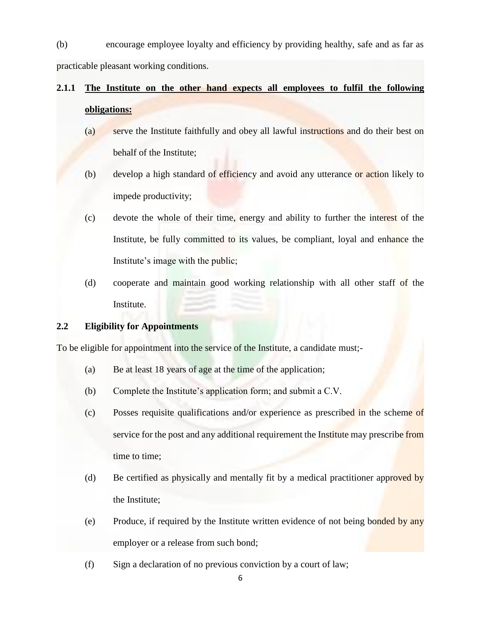(b) encourage employee loyalty and efficiency by providing healthy, safe and as far as practicable pleasant working conditions.

# **2.1.1 The Institute on the other hand expects all employees to fulfil the following obligations:**

- (a) serve the Institute faithfully and obey all lawful instructions and do their best on behalf of the Institute;
- (b) develop a high standard of efficiency and avoid any utterance or action likely to impede productivity;
- (c) devote the whole of their time, energy and ability to further the interest of the Institute, be fully committed to its values, be compliant, loyal and enhance the Institute's image with the public;
- (d) cooperate and maintain good working relationship with all other staff of the Institute.

### **2.2 Eligibility for Appointments**

To be eligible for appointment into the service of the Institute, a candidate must;-

- (a) Be at least 18 years of age at the time of the application;
- (b) Complete the Institute's application form; and submit a C.V.
- (c) Posses requisite qualifications and/or experience as prescribed in the scheme of service for the post and any additional requirement the Institute may prescribe from time to time;
- (d) Be certified as physically and mentally fit by a medical practitioner approved by the Institute;
- (e) Produce, if required by the Institute written evidence of not being bonded by any employer or a release from such bond;
- (f) Sign a declaration of no previous conviction by a court of law;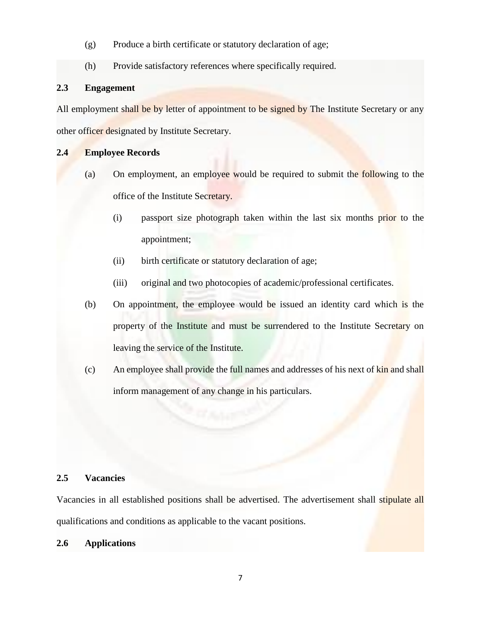- (g) Produce a birth certificate or statutory declaration of age;
- (h) Provide satisfactory references where specifically required.

### **2.3 Engagement**

All employment shall be by letter of appointment to be signed by The Institute Secretary or any other officer designated by Institute Secretary.

### **2.4 Employee Records**

- (a) On employment, an employee would be required to submit the following to the office of the Institute Secretary.
	- (i) passport size photograph taken within the last six months prior to the appointment;
	- (ii) birth certificate or statutory declaration of age;
	- (iii) original and two photocopies of academic/professional certificates.
- (b) On appointment, the employee would be issued an identity card which is the property of the Institute and must be surrendered to the Institute Secretary on leaving the service of the Institute.
- (c) An employee shall provide the full names and addresses of his next of kin and shall inform management of any change in his particulars.

### **2.5 Vacancies**

Vacancies in all established positions shall be advertised. The advertisement shall stipulate all qualifications and conditions as applicable to the vacant positions.

### **2.6 Applications**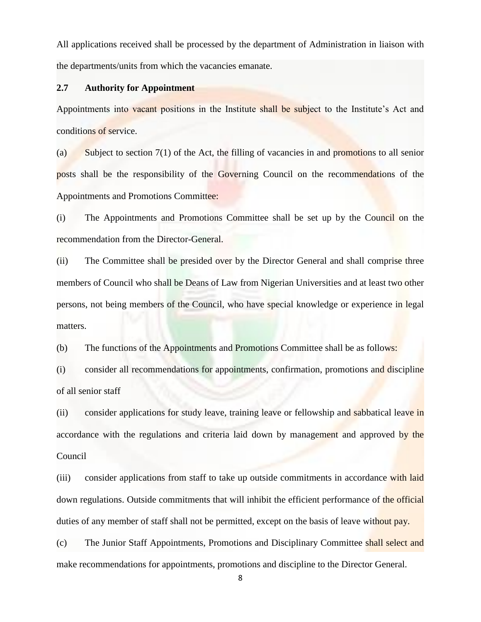All applications received shall be processed by the department of Administration in liaison with the departments/units from which the vacancies emanate.

### **2.7 Authority for Appointment**

Appointments into vacant positions in the Institute shall be subject to the Institute's Act and conditions of service.

(a) Subject to section 7(1) of the Act, the filling of vacancies in and promotions to all senior posts shall be the responsibility of the Governing Council on the recommendations of the Appointments and Promotions Committee:

(i) The Appointments and Promotions Committee shall be set up by the Council on the recommendation from the Director-General.

(ii) The Committee shall be presided over by the Director General and shall comprise three members of Council who shall be Deans of Law from Nigerian Universities and at least two other persons, not being members of the Council, who have special knowledge or experience in legal matters.

(b) The functions of the Appointments and Promotions Committee shall be as follows:

(i) consider all recommendations for appointments, confirmation, promotions and discipline of all senior staff

(ii) consider applications for study leave, training leave or fellowship and sabbatical leave in accordance with the regulations and criteria laid down by management and approved by the Council

(iii) consider applications from staff to take up outside commitments in accordance with laid down regulations. Outside commitments that will inhibit the efficient performance of the official duties of any member of staff shall not be permitted, except on the basis of leave without pay.

(c) The Junior Staff Appointments, Promotions and Disciplinary Committee shall select and make recommendations for appointments, promotions and discipline to the Director General.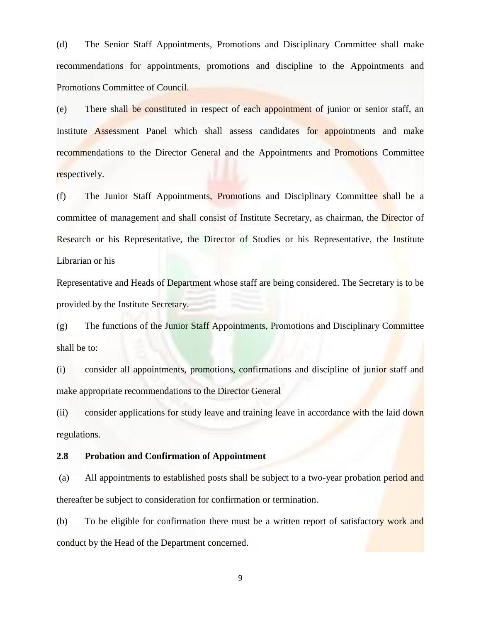(d) The Senior Staff Appointments, Promotions and Disciplinary Committee shall make recommendations for appointments, promotions and discipline to the Appointments and Promotions Committee of Council.

(e) There shall be constituted in respect of each appointment of junior or senior staff, an Institute Assessment Panel which shall assess candidates for appointments and make recommendations to the Director General and the Appointments and Promotions Committee respectively.

(f) The Junior Staff Appointments, Promotions and Disciplinary Committee shall be a committee of management and shall consist of Institute Secretary, as chairman, the Director of Research or his Representative, the Director of Studies or his Representative, the Institute Librarian or his

Representative and Heads of Department whose staff are being considered. The Secretary is to be provided by the Institute Secretary.

(g) The functions of the Junior Staff Appointments, Promotions and Disciplinary Committee shall be to:

(i) consider all appointments, promotions, confirmations and discipline of junior staff and make appropriate recommendations to the Director General

(ii) consider applications for study leave and training leave in accordance with the laid down regulations.

### **2.8 Probation and Confirmation of Appointment**

(a) All appointments to established posts shall be subject to a two-year probation period and thereafter be subject to consideration for confirmation or termination.

(b) To be eligible for confirmation there must be a written report of satisfactory work and conduct by the Head of the Department concerned.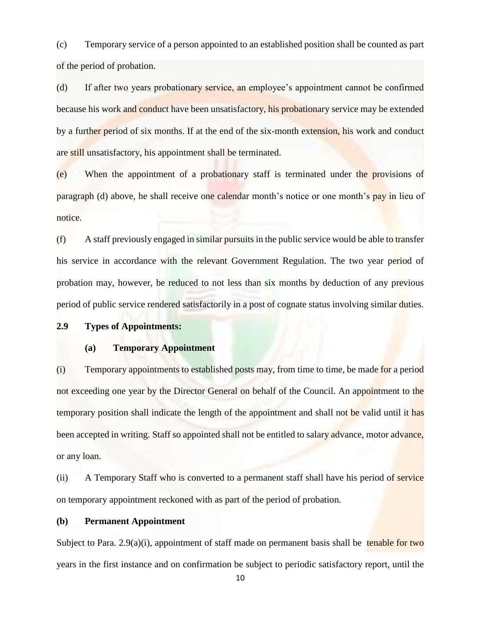(c) Temporary service of a person appointed to an established position shall be counted as part of the period of probation.

(d) If after two years probationary service, an employee's appointment cannot be confirmed because his work and conduct have been unsatisfactory, his probationary service may be extended by a further period of six months. If at the end of the six-month extension, his work and conduct are still unsatisfactory, his appointment shall be terminated.

(e) When the appointment of a probationary staff is terminated under the provisions of paragraph (d) above, he shall receive one calendar month's notice or one month's pay in lieu of notice.

(f) A staff previously engaged in similar pursuits in the public service would be able to transfer his service in accordance with the relevant Government Regulation. The two year period of probation may, however, be reduced to not less than six months by deduction of any previous period of public service rendered satisfactorily in a post of cognate status involving similar duties.

### **2.9 Types of Appointments:**

### **(a) Temporary Appointment**

(i) Temporary appointments to established posts may, from time to time, be made for a period not exceeding one year by the Director General on behalf of the Council. An appointment to the temporary position shall indicate the length of the appointment and shall not be valid until it has been accepted in writing. Staff so appointed shall not be entitled to salary advance, motor advance, or any loan.

(ii) A Temporary Staff who is converted to a permanent staff shall have his period of service on temporary appointment reckoned with as part of the period of probation.

### **(b) Permanent Appointment**

Subject to Para.  $2.9(a)(i)$ , appointment of staff made on permanent basis shall be tenable for two years in the first instance and on confirmation be subject to periodic satisfactory report, until the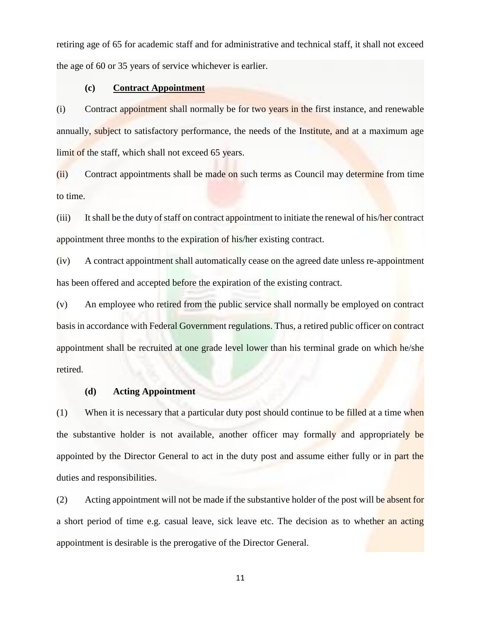retiring age of 65 for academic staff and for administrative and technical staff, it shall not exceed the age of 60 or 35 years of service whichever is earlier.

### **(c) Contract Appointment**

(i) Contract appointment shall normally be for two years in the first instance, and renewable annually, subject to satisfactory performance, the needs of the Institute, and at a maximum age limit of the staff, which shall not exceed 65 years.

(ii) Contract appointments shall be made on such terms as Council may determine from time to time.

(iii) It shall be the duty of staff on contract appointment to initiate the renewal of his/her contract appointment three months to the expiration of his/her existing contract.

(iv) A contract appointment shall automatically cease on the agreed date unless re-appointment has been offered and accepted before the expiration of the existing contract.

(v) An employee who retired from the public service shall normally be employed on contract basis in accordance with Federal Government regulations. Thus, a retired public officer on contract appointment shall be recruited at one grade level lower than his terminal grade on which he/she retired.

### **(d) Acting Appointment**

 $(1)$  When it is necessary that a particular duty post should continue to be filled at a time when the substantive holder is not available, another officer may formally and appropriately be appointed by the Director General to act in the duty post and assume either fully or in part the duties and responsibilities.

(2) Acting appointment will not be made if the substantive holder of the post will be absent for a short period of time e.g. casual leave, sick leave etc. The decision as to whether an acting appointment is desirable is the prerogative of the Director General.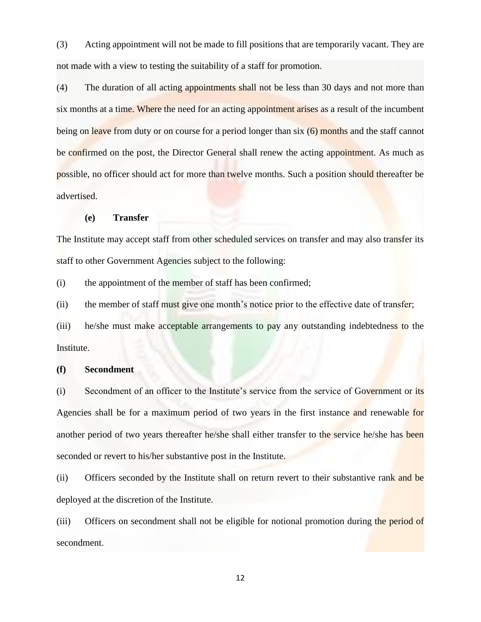(3) Acting appointment will not be made to fill positions that are temporarily vacant. They are not made with a view to testing the suitability of a staff for promotion.

(4) The duration of all acting appointments shall not be less than 30 days and not more than six months at a time. Where the need for an acting appointment arises as a result of the incumbent being on leave from duty or on course for a period longer than six (6) months and the staff cannot be confirmed on the post, the Director General shall renew the acting appointment. As much as possible, no officer should act for more than twelve months. Such a position should thereafter be advertised.

### **(e) Transfer**

The Institute may accept staff from other scheduled services on transfer and may also transfer its staff to other Government Agencies subject to the following:

(i) the appointment of the member of staff has been confirmed;

(ii) the member of staff must give one month's notice prior to the effective date of transfer;

(iii) he/she must make acceptable arrangements to pay any outstanding indebtedness to the Institute.

### **(f) Secondment**

(i) Secondment of an officer to the Institute's service from the service of Government or its Agencies shall be for a maximum period of two years in the first instance and renewable for another period of two years thereafter he/she shall either transfer to the service he/she has been seconded or revert to his/her substantive post in the Institute.

(ii) Officers seconded by the Institute shall on return revert to their substantive rank and be deployed at the discretion of the Institute.

(iii) Officers on secondment shall not be eligible for notional promotion during the period of secondment.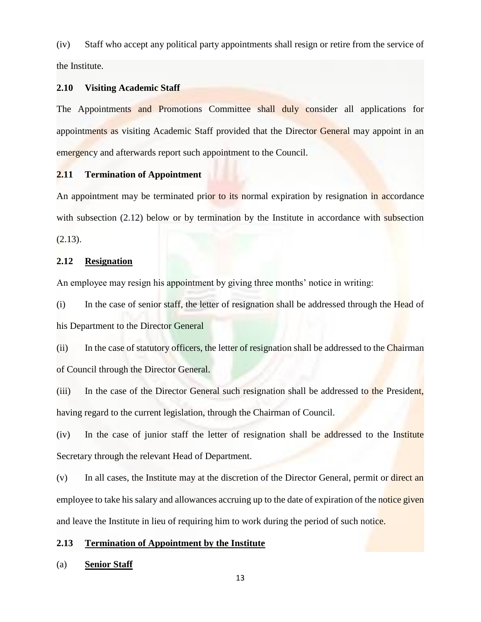(iv) Staff who accept any political party appointments shall resign or retire from the service of the Institute.

### **2.10 Visiting Academic Staff**

The Appointments and Promotions Committee shall duly consider all applications for appointments as visiting Academic Staff provided that the Director General may appoint in an emergency and afterwards report such appointment to the Council.

### **2.11 Termination of Appointment**

An appointment may be terminated prior to its normal expiration by resignation in accordance with subsection (2.12) below or by termination by the Institute in accordance with subsection  $(2.13).$ 

### **2.12 Resignation**

An employee may resign his appointment by giving three months' notice in writing:

(i) In the case of senior staff, the letter of resignation shall be addressed through the Head of his Department to the Director General

(ii) In the case of statutory officers, the letter of resignation shall be addressed to the Chairman of Council through the Director General.

(iii) In the case of the Director General such resignation shall be addressed to the President, having regard to the current legislation, through the Chairman of Council.

(iv) In the case of junior staff the letter of resignation shall be addressed to the Institute Secretary through the relevant Head of Department.

(v) In all cases, the Institute may at the discretion of the Director General, permit or direct an employee to take his salary and allowances accruing up to the date of expiration of the notice given and leave the Institute in lieu of requiring him to work during the period of such notice.

### **2.13 Termination of Appointment by the Institute**

### (a) **Senior Staff**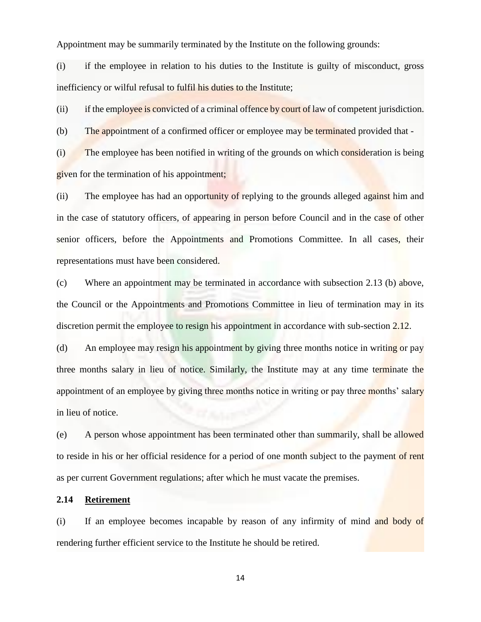Appointment may be summarily terminated by the Institute on the following grounds:

(i) if the employee in relation to his duties to the Institute is guilty of misconduct, gross inefficiency or wilful refusal to fulfil his duties to the Institute;

(ii) if the employee is convicted of a criminal offence by court of law of competent jurisdiction.

(b) The appointment of a confirmed officer or employee may be terminated provided that -

(i) The employee has been notified in writing of the grounds on which consideration is being given for the termination of his appointment;

(ii) The employee has had an opportunity of replying to the grounds alleged against him and in the case of statutory officers, of appearing in person before Council and in the case of other senior officers, before the Appointments and Promotions Committee. In all cases, their representations must have been considered.

(c) Where an appointment may be terminated in accordance with subsection 2.13 (b) above, the Council or the Appointments and Promotions Committee in lieu of termination may in its discretion permit the employee to resign his appointment in accordance with sub-section 2.12.

(d) An employee may resign his appointment by giving three months notice in writing or pay three months salary in lieu of notice. Similarly, the Institute may at any time terminate the appointment of an employee by giving three months notice in writing or pay three months' salary in lieu of notice.

(e) A person whose appointment has been terminated other than summarily, shall be allowed to reside in his or her official residence for a period of one month subject to the payment of rent as per current Government regulations; after which he must vacate the premises.

### **2.14 Retirement**

(i) If an employee becomes incapable by reason of any infirmity of mind and body of rendering further efficient service to the Institute he should be retired.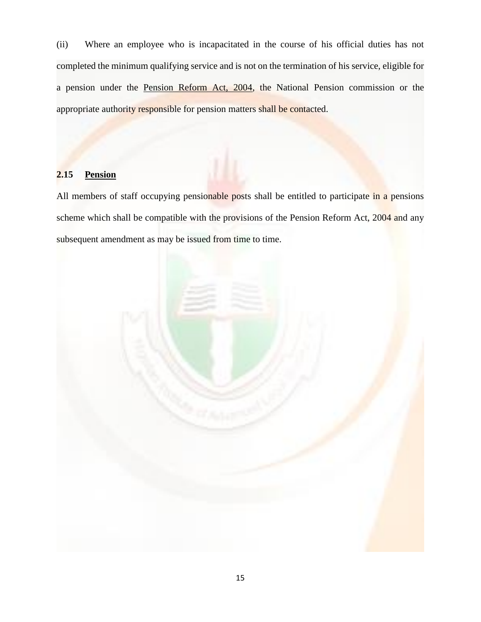(ii) Where an employee who is incapacitated in the course of his official duties has not completed the minimum qualifying service and is not on the termination of his service, eligible for a pension under the Pension Reform Act, 2004, the National Pension commission or the appropriate authority responsible for pension matters shall be contacted.

### **2.15 Pension**

All members of staff occupying pensionable posts shall be entitled to participate in a pensions scheme which shall be compatible with the provisions of the Pension Reform Act, 2004 and any subsequent amendment as may be issued from time to time.

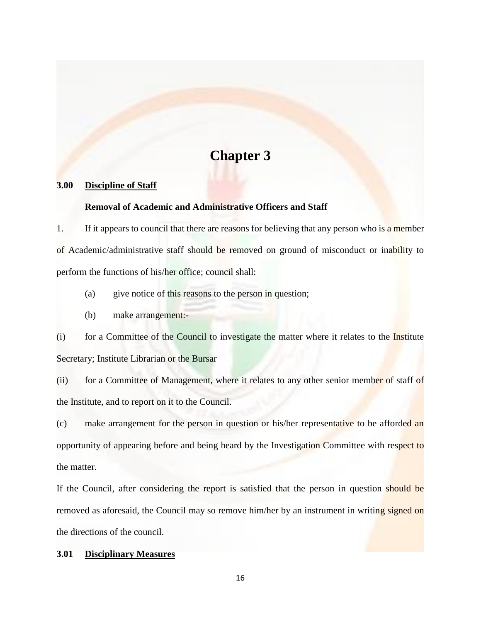# **Chapter 3**

### **3.00 Discipline of Staff**

### **Removal of Academic and Administrative Officers and Staff**

1. If it appears to council that there are reasons for believing that any person who is a member of Academic/administrative staff should be removed on ground of misconduct or inability to perform the functions of his/her office; council shall:

- (a) give notice of this reasons to the person in question;
- (b) make arrangement:-

(i) for a Committee of the Council to investigate the matter where it relates to the Institute Secretary; Institute Librarian or the Bursar

(ii) for a Committee of Management, where it relates to any other senior member of staff of the Institute, and to report on it to the Council.

(c) make arrangement for the person in question or his/her representative to be afforded an opportunity of appearing before and being heard by the Investigation Committee with respect to the matter.

If the Council, after considering the report is satisfied that the person in question should be removed as aforesaid, the Council may so remove him/her by an instrument in writing signed on the directions of the council.

### **3.01 Disciplinary Measures**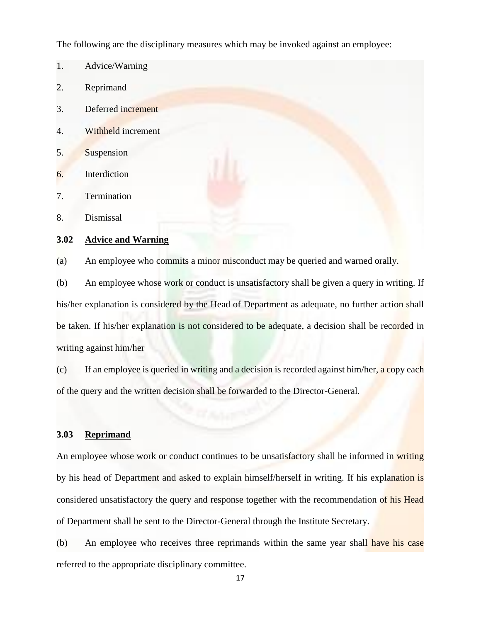The following are the disciplinary measures which may be invoked against an employee:

- 1. Advice/Warning
- 2. Reprimand
- 3. Deferred increment
- 4. Withheld increment
- 5. Suspension
- 6. Interdiction
- 7. Termination
- 8. Dismissal

### **3.02 Advice and Warning**

(a) An employee who commits a minor misconduct may be queried and warned orally.

(b) An employee whose work or conduct is unsatisfactory shall be given a query in writing. If his/her explanation is considered by the Head of Department as adequate, no further action shall be taken. If his/her explanation is not considered to be adequate, a decision shall be recorded in writing against him/her

(c) If an employee is queried in writing and a decision is recorded against him/her, a copy each of the query and the written decision shall be forwarded to the Director-General.

### **3.03 Reprimand**

An employee whose work or conduct continues to be unsatisfactory shall be informed in writing by his head of Department and asked to explain himself/herself in writing. If his explanation is considered unsatisfactory the query and response together with the recommendation of his Head of Department shall be sent to the Director-General through the Institute Secretary.

(b) An employee who receives three reprimands within the same year shall have his case referred to the appropriate disciplinary committee.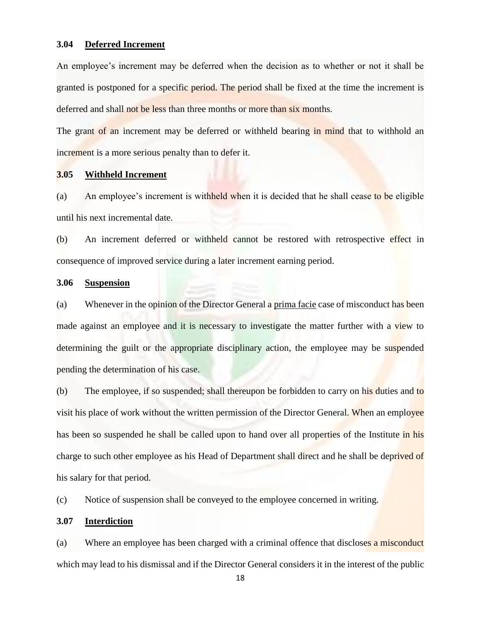### **3.04 Deferred Increment**

An employee's increment may be deferred when the decision as to whether or not it shall be granted is postponed for a specific period. The period shall be fixed at the time the increment is deferred and shall not be less than three months or more than six months.

The grant of an increment may be deferred or withheld bearing in mind that to withhold an increment is a more serious penalty than to defer it.

### **3.05 Withheld Increment**

(a) An employee's increment is withheld when it is decided that he shall cease to be eligible until his next incremental date.

(b) An increment deferred or withheld cannot be restored with retrospective effect in consequence of improved service during a later increment earning period.

### **3.06 Suspension**

(a) Whenever in the opinion of the Director General a prima facie case of misconduct has been made against an employee and it is necessary to investigate the matter further with a view to determining the guilt or the appropriate disciplinary action, the employee may be suspended pending the determination of his case.

(b) The employee, if so suspended; shall thereupon be forbidden to carry on his duties and to visit his place of work without the written permission of the Director General. When an employee has been so suspended he shall be called upon to hand over all properties of the Institute in his charge to such other employee as his Head of Department shall direct and he shall be deprived of his salary for that period.

(c) Notice of suspension shall be conveyed to the employee concerned in writing.

### **3.07 Interdiction**

(a) Where an employee has been charged with a criminal offence that discloses a misconduct which may lead to his dismissal and if the Director General considers it in the interest of the public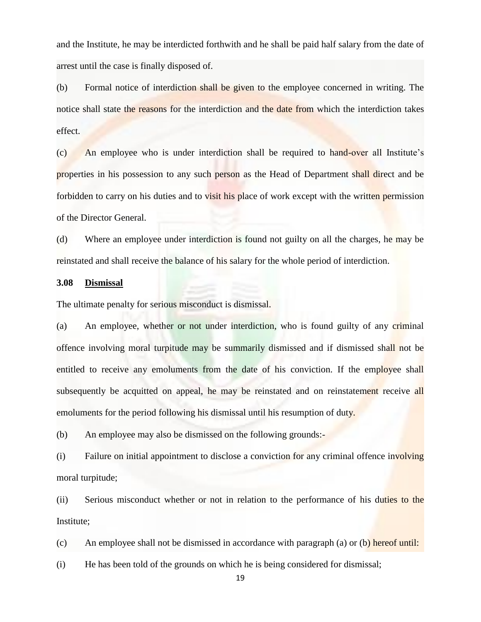and the Institute, he may be interdicted forthwith and he shall be paid half salary from the date of arrest until the case is finally disposed of.

(b) Formal notice of interdiction shall be given to the employee concerned in writing. The notice shall state the reasons for the interdiction and the date from which the interdiction takes effect.

(c) An employee who is under interdiction shall be required to hand-over all Institute's properties in his possession to any such person as the Head of Department shall direct and be forbidden to carry on his duties and to visit his place of work except with the written permission of the Director General.

(d) Where an employee under interdiction is found not guilty on all the charges, he may be reinstated and shall receive the balance of his salary for the whole period of interdiction.

### **3.08 Dismissal**

The ultimate penalty for serious misconduct is dismissal.

(a) An employee, whether or not under interdiction, who is found guilty of any criminal offence involving moral turpitude may be summarily dismissed and if dismissed shall not be entitled to receive any emoluments from the date of his conviction. If the employee shall subsequently be acquitted on appeal, he may be reinstated and on reinstatement receive all emoluments for the period following his dismissal until his resumption of duty.

(b) An employee may also be dismissed on the following grounds:-

(i) Failure on initial appointment to disclose a conviction for any criminal offence involving moral turpitude;

(ii) Serious misconduct whether or not in relation to the performance of his duties to the Institute;

(c) An employee shall not be dismissed in accordance with paragraph (a) or (b) hereof until:

(i) He has been told of the grounds on which he is being considered for dismissal;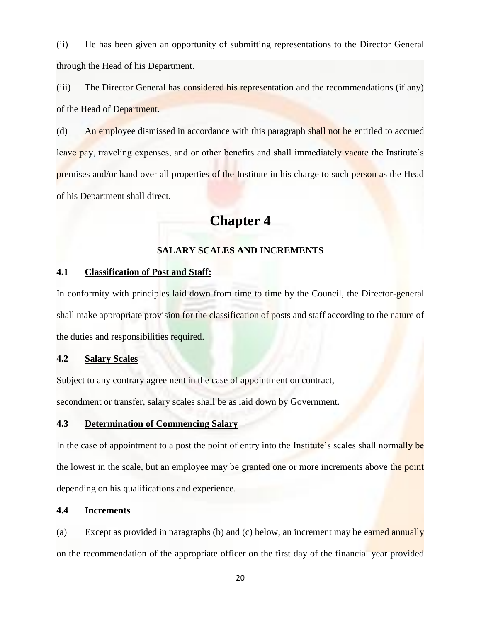(ii) He has been given an opportunity of submitting representations to the Director General through the Head of his Department.

(iii) The Director General has considered his representation and the recommendations (if any) of the Head of Department.

(d) An employee dismissed in accordance with this paragraph shall not be entitled to accrued leave pay, traveling expenses, and or other benefits and shall immediately vacate the Institute's premises and/or hand over all properties of the Institute in his charge to such person as the Head of his Department shall direct.

# **Chapter 4**

### **SALARY SCALES AND INCREMENTS**

### **4.1 Classification of Post and Staff:**

In conformity with principles laid down from time to time by the Council, the Director-general shall make appropriate provision for the classification of posts and staff according to the nature of the duties and responsibilities required.

### **4.2 Salary Scales**

Subject to any contrary agreement in the case of appointment on contract,

secondment or transfer, salary scales shall be as laid down by Government.

### **4.3 Determination of Commencing Salary**

In the case of appointment to a post the point of entry into the Institute's scales shall normally be the lowest in the scale, but an employee may be granted one or more increments above the point depending on his qualifications and experience.

### **4.4 Increments**

(a) Except as provided in paragraphs (b) and (c) below, an increment may be earned annually on the recommendation of the appropriate officer on the first day of the financial year provided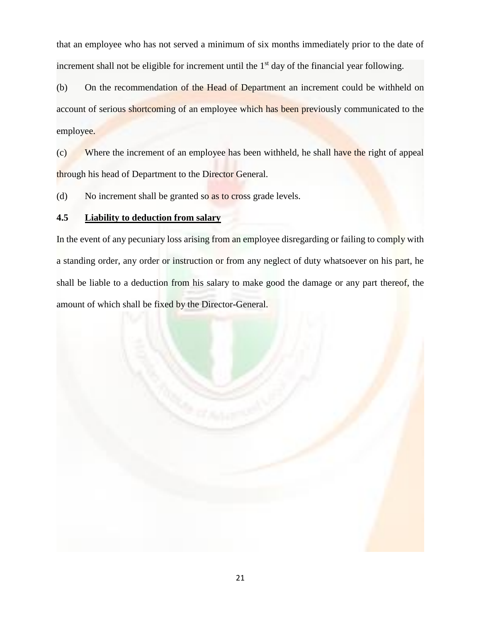that an employee who has not served a minimum of six months immediately prior to the date of increment shall not be eligible for increment until the  $1<sup>st</sup>$  day of the financial year following.

(b) On the recommendation of the Head of Department an increment could be withheld on account of serious shortcoming of an employee which has been previously communicated to the employee.

(c) Where the increment of an employee has been withheld, he shall have the right of appeal through his head of Department to the Director General.

(d) No increment shall be granted so as to cross grade levels.

### **4.5 Liability to deduction from salary**

In the event of any pecuniary loss arising from an employee disregarding or failing to comply with a standing order, any order or instruction or from any neglect of duty whatsoever on his part, he shall be liable to a deduction from his salary to make good the damage or any part thereof, the amount of which shall be fixed by the Director-General.

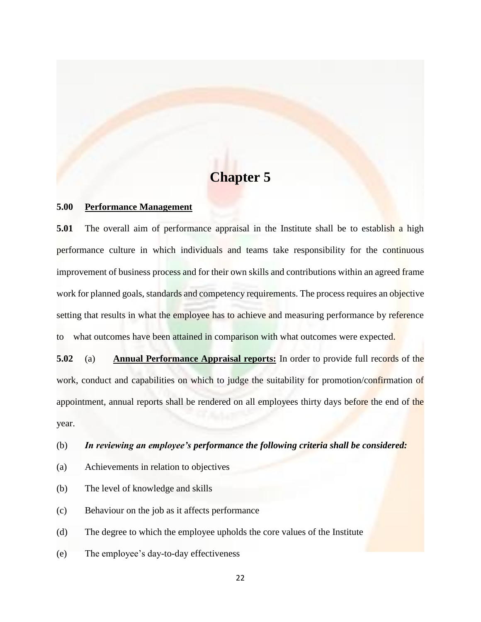# **Chapter 5**

### **5.00 Performance Management**

**5.01** The overall aim of performance appraisal in the Institute shall be to establish a high performance culture in which individuals and teams take responsibility for the continuous improvement of business process and for their own skills and contributions within an agreed frame work for planned goals, standards and competency requirements. The process requires an objective setting that results in what the employee has to achieve and measuring performance by reference to what outcomes have been attained in comparison with what outcomes were expected.

**5.02** (a) **Annual Performance Appraisal reports:** In order to provide full records of the work, conduct and capabilities on which to judge the suitability for promotion/confirmation of appointment, annual reports shall be rendered on all employees thirty days before the end of the year.

(b) *In reviewing an employee's performance the following criteria shall be considered:*

- (a) Achievements in relation to objectives
- (b) The level of knowledge and skills
- (c) Behaviour on the job as it affects performance

(d) The degree to which the employee upholds the core values of the Institute

(e) The employee's day-to-day effectiveness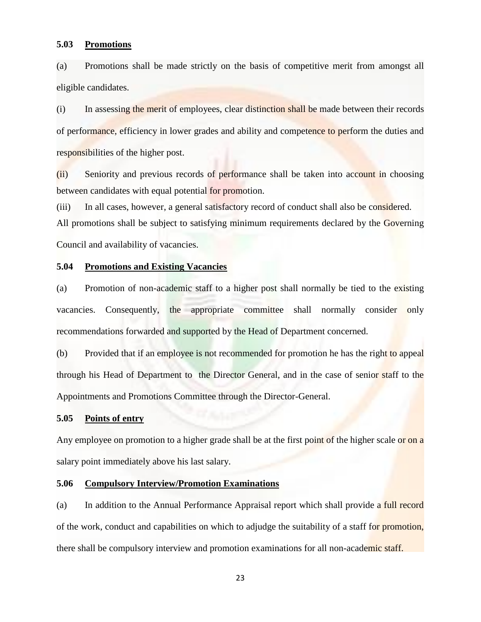### **5.03 Promotions**

(a) Promotions shall be made strictly on the basis of competitive merit from amongst all eligible candidates.

(i) In assessing the merit of employees, clear distinction shall be made between their records of performance, efficiency in lower grades and ability and competence to perform the duties and responsibilities of the higher post.

(ii) Seniority and previous records of performance shall be taken into account in choosing between candidates with equal potential for promotion.

(iii) In all cases, however, a general satisfactory record of conduct shall also be considered.

All promotions shall be subject to satisfying minimum requirements declared by the Governing Council and availability of vacancies.

### **5.04 Promotions and Existing Vacancies**

(a) Promotion of non-academic staff to a higher post shall normally be tied to the existing vacancies. Consequently, the appropriate committee shall normally consider only recommendations forwarded and supported by the Head of Department concerned.

(b) Provided that if an employee is not recommended for promotion he has the right to appeal through his Head of Department to the Director General, and in the case of senior staff to the Appointments and Promotions Committee through the Director-General.

### **5.05 Points of entry**

Any employee on promotion to a higher grade shall be at the first point of the higher scale or on a salary point immediately above his last salary.

### **5.06 Compulsory Interview/Promotion Examinations**

(a) In addition to the Annual Performance Appraisal report which shall provide a full record of the work, conduct and capabilities on which to adjudge the suitability of a staff for promotion, there shall be compulsory interview and promotion examinations for all non-academic staff.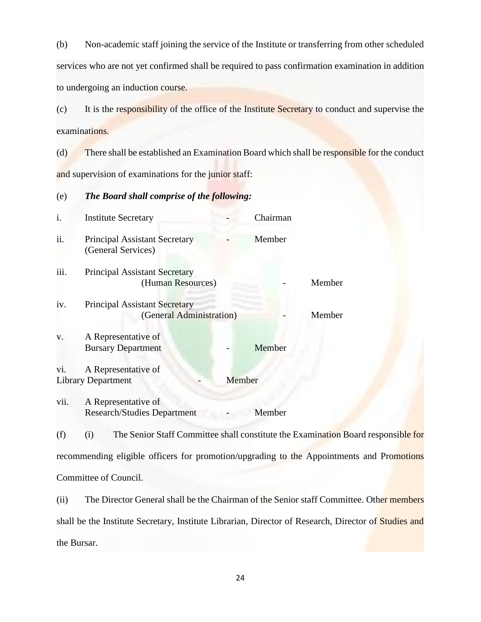(b) Non-academic staff joining the service of the Institute or transferring from other scheduled services who are not yet confirmed shall be required to pass confirmation examination in addition to undergoing an induction course.

(c) It is the responsibility of the office of the Institute Secretary to conduct and supervise the examinations.

(d) There shall be established an Examination Board which shall be responsible for the conduct and supervision of examinations for the junior staff:

### (e) *The Board shall comprise of the following:*

| i.   | <b>Institute Secretary</b>                                       |        | Chairman |        |
|------|------------------------------------------------------------------|--------|----------|--------|
| ii.  | <b>Principal Assistant Secretary</b><br>(General Services)       |        | Member   |        |
| iii. | <b>Principal Assistant Secretary</b><br>(Human Resources)        |        |          | Member |
| iv.  | <b>Principal Assistant Secretary</b><br>(General Administration) |        |          | Member |
| V.   | A Representative of<br><b>Bursary Department</b>                 |        | Member   |        |
| vi.  | A Representative of<br><b>Library Department</b>                 | Member |          |        |
| vii. | A Representative of<br><b>Research/Studies Department</b>        |        | Member   |        |

(f) (i) The Senior Staff Committee shall constitute the Examination Board responsible for recommending eligible officers for promotion/upgrading to the Appointments and Promotions Committee of Council.

(ii) The Director General shall be the Chairman of the Senior staff Committee. Other members shall be the Institute Secretary, Institute Librarian, Director of Research, Director of Studies and the Bursar.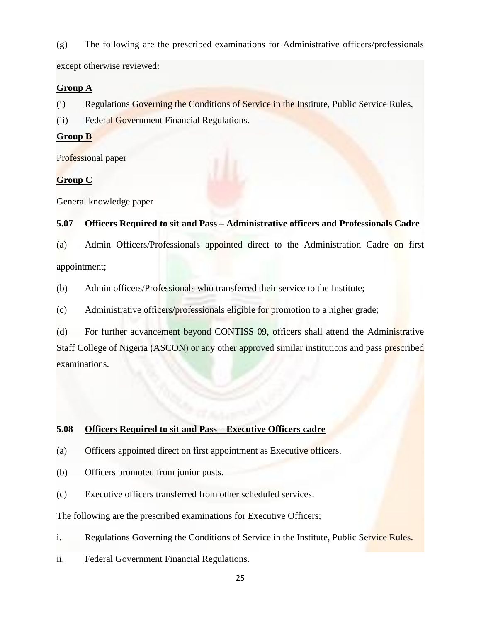(g) The following are the prescribed examinations for Administrative officers/professionals

except otherwise reviewed:

### **Group A**

(i) Regulations Governing the Conditions of Service in the Institute, Public Service Rules,

(ii) Federal Government Financial Regulations.

### **Group B**

Professional paper

### **Group C**

General knowledge paper

### **5.07 Officers Required to sit and Pass – Administrative officers and Professionals Cadre**

(a) Admin Officers/Professionals appointed direct to the Administration Cadre on first appointment;

(b) Admin officers/Professionals who transferred their service to the Institute;

(c) Administrative officers/professionals eligible for promotion to a higher grade;

(d) For further advancement beyond CONTISS 09, officers shall attend the Administrative Staff College of Nigeria (ASCON) or any other approved similar institutions and pass prescribed examinations.

### **5.08 Officers Required to sit and Pass – Executive Officers cadre**

- (a) Officers appointed direct on first appointment as Executive officers.
- (b) Officers promoted from junior posts.
- (c) Executive officers transferred from other scheduled services.

The following are the prescribed examinations for Executive Officers;

- i. Regulations Governing the Conditions of Service in the Institute, Public Service Rules.
- ii. Federal Government Financial Regulations.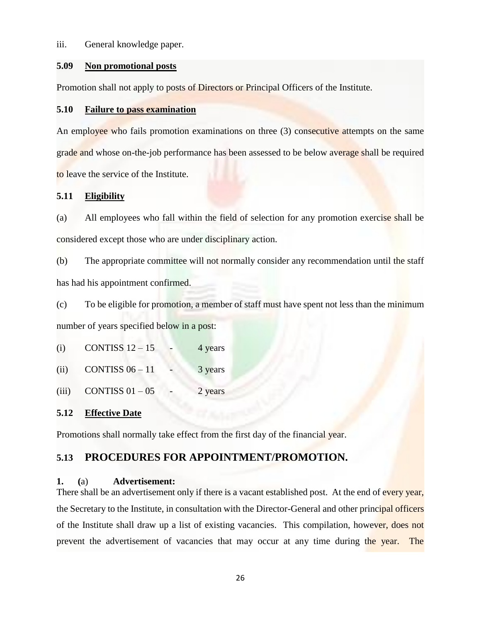### iii. General knowledge paper.

### **5.09 Non promotional posts**

Promotion shall not apply to posts of Directors or Principal Officers of the Institute.

### **5.10 Failure to pass examination**

An employee who fails promotion examinations on three (3) consecutive attempts on the same grade and whose on-the-job performance has been assessed to be below average shall be required to leave the service of the Institute.

### **5.11 Eligibility**

(a) All employees who fall within the field of selection for any promotion exercise shall be considered except those who are under disciplinary action.

(b) The appropriate committee will not normally consider any recommendation until the staff has had his appointment confirmed.

(c) To be eligible for promotion, a member of staff must have spent not less than the minimum number of years specified below in a post:

(i) CONTISS  $12 - 15$  - 4 years

(ii) CONTISS  $06 - 11$  - 3 years

(iii) CONTISS  $01 - 05$  - 2 years

### **5.12 Effective Date**

Promotions shall normally take effect from the first day of the financial year.

## **5.13 PROCEDURES FOR APPOINTMENT/PROMOTION.**

### **1. (**a) **Advertisement:**

There shall be an advertisement only if there is a vacant established post. At the end of every year, the Secretary to the Institute, in consultation with the Director-General and other principal officers of the Institute shall draw up a list of existing vacancies. This compilation, however, does not prevent the advertisement of vacancies that may occur at any time during the year. The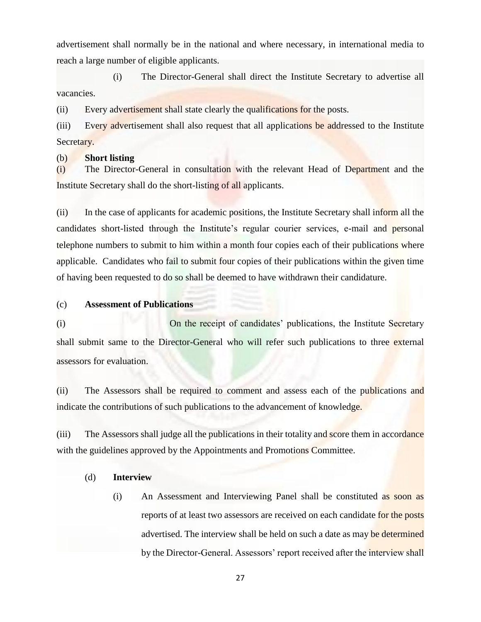advertisement shall normally be in the national and where necessary, in international media to reach a large number of eligible applicants.

(i) The Director-General shall direct the Institute Secretary to advertise all vacancies.

(ii) Every advertisement shall state clearly the qualifications for the posts.

(iii) Every advertisement shall also request that all applications be addressed to the Institute Secretary.

### (b) **Short listing**

(i) The Director-General in consultation with the relevant Head of Department and the Institute Secretary shall do the short-listing of all applicants.

(ii) In the case of applicants for academic positions, the Institute Secretary shall inform all the candidates short-listed through the Institute's regular courier services, e-mail and personal telephone numbers to submit to him within a month four copies each of their publications where applicable. Candidates who fail to submit four copies of their publications within the given time of having been requested to do so shall be deemed to have withdrawn their candidature.

### (c) **Assessment of Publications**

(i) On the receipt of candidates' publications, the Institute Secretary shall submit same to the Director-General who will refer such publications to three external assessors for evaluation.

(ii) The Assessors shall be required to comment and assess each of the publications and indicate the contributions of such publications to the advancement of knowledge.

(iii) The Assessors shall judge all the publications in their totality and score them in accordance with the guidelines approved by the Appointments and Promotions Committee.

### (d) **Interview**

(i) An Assessment and Interviewing Panel shall be constituted as soon as reports of at least two assessors are received on each candidate for the posts advertised. The interview shall be held on such a date as may be determined by the Director-General. Assessors' report received after the interview shall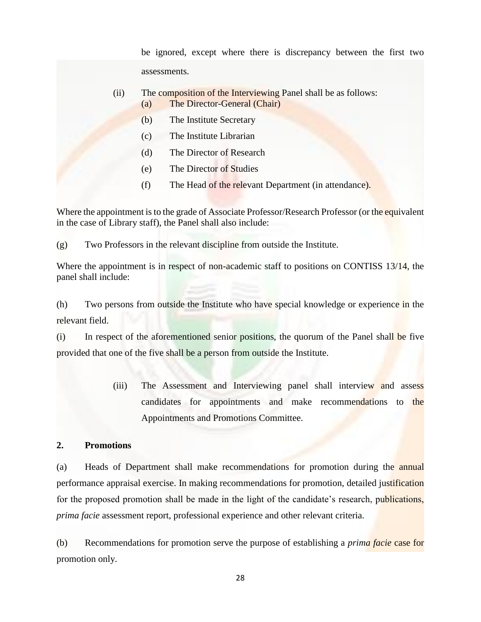be ignored, except where there is discrepancy between the first two assessments.

- (ii) The composition of the Interviewing Panel shall be as follows: (a) The Director-General (Chair)
	- (b) The Institute Secretary
	- (c) The Institute Librarian
	- (d) The Director of Research
	- (e) The Director of Studies
	- (f) The Head of the relevant Department (in attendance).

Where the appointment is to the grade of Associate Professor/Research Professor (or the equivalent in the case of Library staff), the Panel shall also include:

(g) Two Professors in the relevant discipline from outside the Institute.

Where the appointment is in respect of non-academic staff to positions on CONTISS 13/14, the panel shall include:

(h) Two persons from outside the Institute who have special knowledge or experience in the relevant field.

(i) In respect of the aforementioned senior positions, the quorum of the Panel shall be five provided that one of the five shall be a person from outside the Institute.

> (iii) The Assessment and Interviewing panel shall interview and assess candidates for appointments and make recommendations to the Appointments and Promotions Committee.

### **2. Promotions**

(a) Heads of Department shall make recommendations for promotion during the annual performance appraisal exercise. In making recommendations for promotion, detailed justification for the proposed promotion shall be made in the light of the candidate's research, publications, *prima facie* assessment report, professional experience and other relevant criteria.

(b) Recommendations for promotion serve the purpose of establishing a *prima facie* case for promotion only.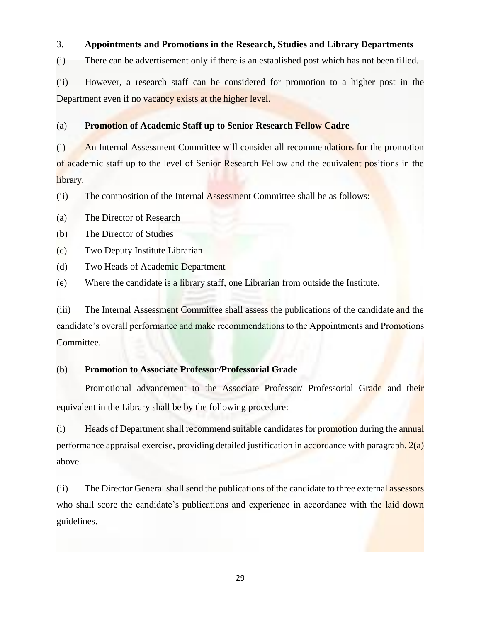### 3. **Appointments and Promotions in the Research, Studies and Library Departments**

(i) There can be advertisement only if there is an established post which has not been filled.

(ii) However, a research staff can be considered for promotion to a higher post in the Department even if no vacancy exists at the higher level.

### (a) **Promotion of Academic Staff up to Senior Research Fellow Cadre**

(i) An Internal Assessment Committee will consider all recommendations for the promotion of academic staff up to the level of Senior Research Fellow and the equivalent positions in the library.

(ii) The composition of the Internal Assessment Committee shall be as follows:

(a) The Director of Research

(b) The Director of Studies

(c) Two Deputy Institute Librarian

(d) Two Heads of Academic Department

(e) Where the candidate is a library staff, one Librarian from outside the Institute.

(iii) The Internal Assessment Committee shall assess the publications of the candidate and the candidate's overall performance and make recommendations to the Appointments and Promotions Committee.

### (b) **Promotion to Associate Professor/Professorial Grade**

Promotional advancement to the Associate Professor/ Professorial Grade and their equivalent in the Library shall be by the following procedure:

(i) Heads of Department shall recommend suitable candidates for promotion during the annual performance appraisal exercise, providing detailed justification in accordance with paragraph. 2(a) above.

(ii) The Director General shall send the publications of the candidate to three external assessors who shall score the candidate's publications and experience in accordance with the laid down guidelines.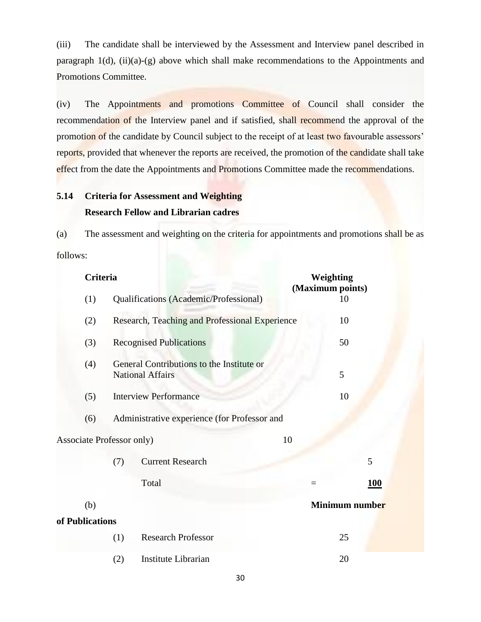(iii) The candidate shall be interviewed by the Assessment and Interview panel described in paragraph  $1(d)$ , (ii)(a)-(g) above which shall make recommendations to the Appointments and Promotions Committee.

(iv) The Appointments and promotions Committee of Council shall consider the recommendation of the Interview panel and if satisfied, shall recommend the approval of the promotion of the candidate by Council subject to the receipt of at least two favourable assessors' reports, provided that whenever the reports are received, the promotion of the candidate shall take effect from the date the Appointments and Promotions Committee made the recommendations.

# **5.14 Criteria for Assessment and Weighting Research Fellow and Librarian cadres**

(a) The assessment and weighting on the criteria for appointments and promotions shall be as follows:

| Criteria                  |     |                                                                      |          | Weighting<br>(Maximum points) |  |
|---------------------------|-----|----------------------------------------------------------------------|----------|-------------------------------|--|
| (1)                       |     | Qualifications (Academic/Professional)                               |          | 10                            |  |
| (2)                       |     | Research, Teaching and Professional Experience                       |          | 10                            |  |
| (3)                       |     | <b>Recognised Publications</b>                                       |          | 50                            |  |
| (4)                       |     | General Contributions to the Institute or<br><b>National Affairs</b> |          | 5                             |  |
| (5)                       |     | <b>Interview Performance</b>                                         |          | 10                            |  |
| (6)                       |     | Administrative experience (for Professor and                         |          |                               |  |
| Associate Professor only) |     |                                                                      | 10       |                               |  |
|                           | (7) | <b>Current Research</b>                                              |          | 5                             |  |
|                           |     | Total                                                                | $\equiv$ | <b>100</b>                    |  |
| (b)                       |     |                                                                      |          | Minimum number                |  |
| of Publications           |     |                                                                      |          |                               |  |
|                           | (1) | <b>Research Professor</b>                                            |          | 25                            |  |
|                           | (2) | Institute Librarian                                                  |          | 20                            |  |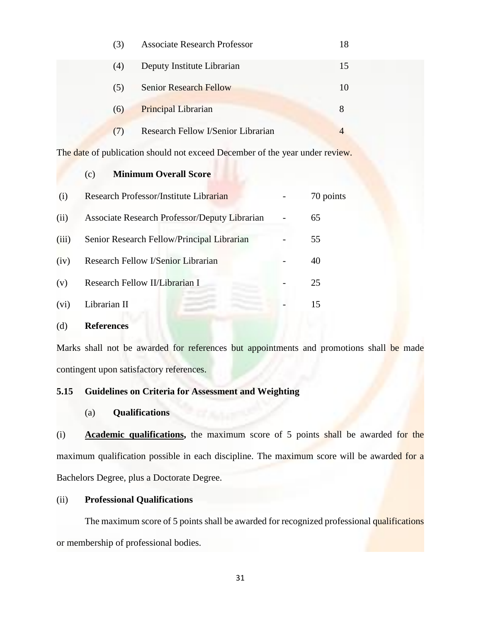|     |     | (3) | <b>Associate Research Professor</b>                                          | 18             |
|-----|-----|-----|------------------------------------------------------------------------------|----------------|
|     |     | (4) | Deputy Institute Librarian                                                   | 15             |
|     |     | (5) | <b>Senior Research Fellow</b>                                                | 10             |
|     |     | (6) | <b>Principal Librarian</b>                                                   | 8              |
|     |     | (7) | Research Fellow I/Senior Librarian                                           | $\overline{4}$ |
|     |     |     | The date of publication should not exceed December of the year under review. |                |
|     | (c) |     | <b>Minimum Overall Score</b>                                                 |                |
| (i) |     |     | Research Professor/Institute Librarian                                       | 70 points      |

| (ii)  | Associate Research Professor/Deputy Librarian | 65 |
|-------|-----------------------------------------------|----|
| (iii) | Senior Research Fellow/Principal Librarian    | 55 |
| (iv)  | Research Fellow I/Senior Librarian            | 40 |
| (v)   | Research Fellow II/Librarian I                | 25 |
| (vi)  | Librarian II                                  |    |

### (d) **References**

Marks shall not be awarded for references but appointments and promotions shall be made contingent upon satisfactory references.

### **5.15 Guidelines on Criteria for Assessment and Weighting**

(a) **Qualifications**

(i) **Academic qualifications,** the maximum score of 5 points shall be awarded for the maximum qualification possible in each discipline. The maximum score will be awarded for a Bachelors Degree, plus a Doctorate Degree.

### (ii) **Professional Qualifications**

The maximum score of 5 points shall be awarded for recognized professional qualifications or membership of professional bodies.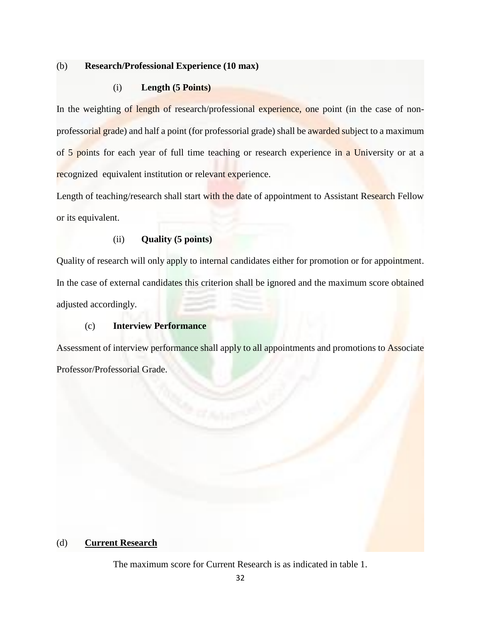### (b) **Research/Professional Experience (10 max)**

### (i) **Length (5 Points)**

In the weighting of length of research/professional experience, one point (in the case of nonprofessorial grade) and half a point (for professorial grade) shall be awarded subject to a maximum of 5 points for each year of full time teaching or research experience in a University or at a recognized equivalent institution or relevant experience.

Length of teaching/research shall start with the date of appointment to Assistant Research Fellow or its equivalent.

### (ii) **Quality (5 points)**

Quality of research will only apply to internal candidates either for promotion or for appointment. In the case of external candidates this criterion shall be ignored and the maximum score obtained adjusted accordingly.

### (c) **Interview Performance**

Assessment of interview performance shall apply to all appointments and promotions to Associate Professor/Professorial Grade.

### (d) **Current Research**

The maximum score for Current Research is as indicated in table 1.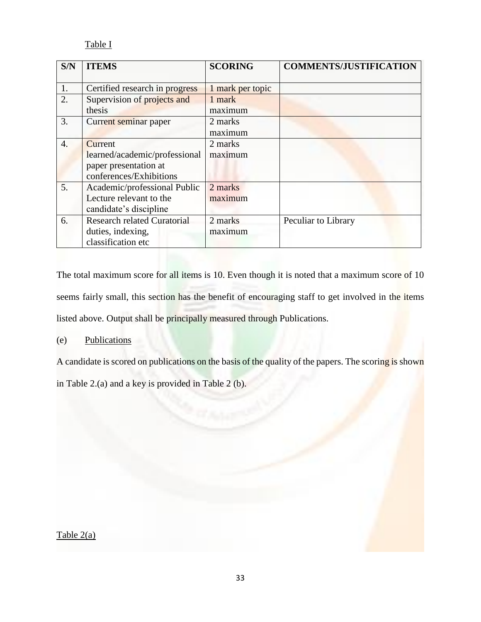### Table I

| S/N              | <b>ITEMS</b>                       | <b>SCORING</b>   | <b>COMMENTS/JUSTIFICATION</b> |
|------------------|------------------------------------|------------------|-------------------------------|
|                  |                                    |                  |                               |
| 1.               | Certified research in progress     | 1 mark per topic |                               |
| 2.               | Supervision of projects and        | 1 mark           |                               |
|                  | thesis                             | maximum          |                               |
| 3.               | Current seminar paper              | 2 marks          |                               |
|                  |                                    | maximum          |                               |
| $\overline{4}$ . | Current                            | 2 marks          |                               |
|                  | learned/academic/professional      | maximum          |                               |
|                  | paper presentation at              |                  |                               |
|                  | conferences/Exhibitions            |                  |                               |
| 5.               | Academic/professional Public       | 2 marks          |                               |
|                  | Lecture relevant to the            | maximum          |                               |
|                  | candidate's discipline             |                  |                               |
| 6.               | <b>Research related Curatorial</b> | 2 marks          | Peculiar to Library           |
|                  | duties, indexing,                  | maximum          |                               |
|                  | classification etc                 |                  |                               |

The total maximum score for all items is 10. Even though it is noted that a maximum score of 10 seems fairly small, this section has the benefit of encouraging staff to get involved in the items listed above. Output shall be principally measured through Publications.

### (e) Publications

A candidate is scored on publications on the basis of the quality of the papers. The scoring is shown

in Table 2.(a) and a key is provided in Table 2 (b).

Table 2(a)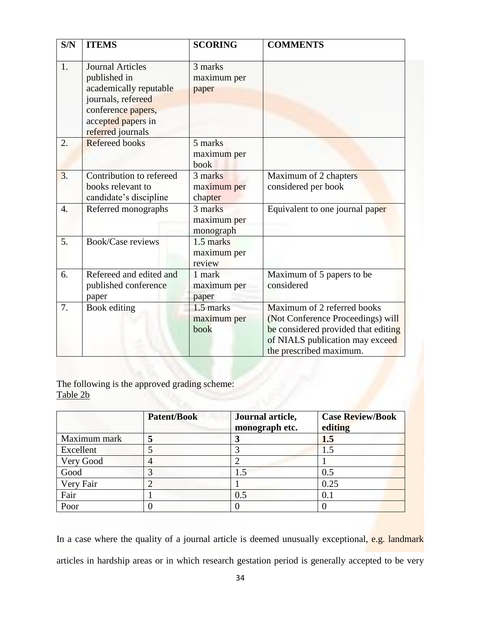| S/N              | <b>ITEMS</b>             | <b>SCORING</b> | <b>COMMENTS</b>                     |
|------------------|--------------------------|----------------|-------------------------------------|
|                  |                          |                |                                     |
| 1.               | <b>Journal Articles</b>  | 3 marks        |                                     |
|                  | published in             | maximum per    |                                     |
|                  | academically reputable   | paper          |                                     |
|                  | journals, refereed       |                |                                     |
|                  | conference papers,       |                |                                     |
|                  | accepted papers in       |                |                                     |
|                  | referred journals        |                |                                     |
| 2.               | Refereed books           | 5 marks        |                                     |
|                  |                          | maximum per    |                                     |
|                  |                          | book           |                                     |
| 3.               | Contribution to refereed | 3 marks        | Maximum of 2 chapters               |
|                  | books relevant to        | maximum per    | considered per book                 |
|                  | candidate's discipline   | chapter        |                                     |
| $\overline{4}$ . | Referred monographs      | 3 marks        | Equivalent to one journal paper     |
|                  |                          | maximum per    |                                     |
|                  |                          | monograph      |                                     |
| 5.               | <b>Book/Case reviews</b> | 1.5 marks      |                                     |
|                  |                          | maximum per    |                                     |
|                  |                          | review         |                                     |
| 6.               | Refereed and edited and  | 1 mark         | Maximum of 5 papers to be           |
|                  | published conference     | maximum per    | considered                          |
|                  | paper                    | paper          |                                     |
| 7.               | Book editing             | 1.5 marks      | Maximum of 2 referred books         |
|                  |                          | maximum per    | (Not Conference Proceedings) will   |
|                  |                          | book           | be considered provided that editing |
|                  |                          |                | of NIALS publication may exceed     |
|                  |                          |                | the prescribed maximum.             |

The following is the approved grading scheme: Table 2b

|              | <b>Patent/Book</b> | Journal article,<br>monograph etc. | <b>Case Review/Book</b><br>editing |
|--------------|--------------------|------------------------------------|------------------------------------|
| Maximum mark |                    |                                    | 1.5                                |
| Excellent    |                    |                                    | 1.5                                |
| Very Good    |                    |                                    |                                    |
| Good         |                    |                                    | 0.5                                |
| Very Fair    |                    |                                    | 0.25                               |
| Fair         |                    | 0.5                                | 0.1                                |
| Poor         |                    |                                    |                                    |

In a case where the quality of a journal article is deemed unusually exceptional, e.g. landmark articles in hardship areas or in which research gestation period is generally accepted to be very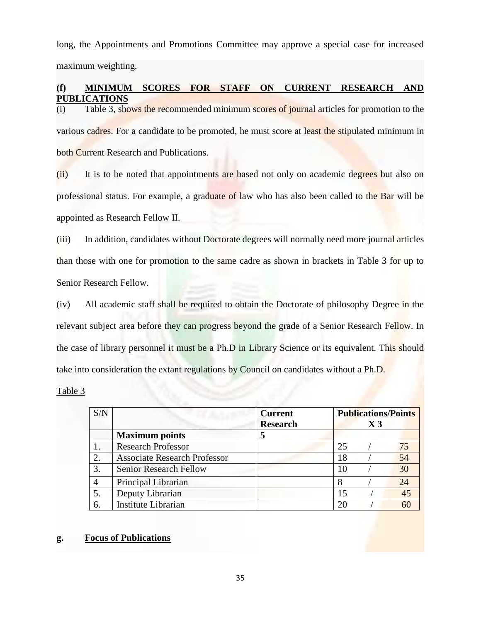long, the Appointments and Promotions Committee may approve a special case for increased maximum weighting.

### **(f) MINIMUM SCORES FOR STAFF ON CURRENT RESEARCH AND PUBLICATIONS**

(i) Table 3, shows the recommended minimum scores of journal articles for promotion to the various cadres. For a candidate to be promoted, he must score at least the stipulated minimum in both Current Research and Publications.

(ii) It is to be noted that appointments are based not only on academic degrees but also on professional status. For example, a graduate of law who has also been called to the Bar will be appointed as Research Fellow II.

(iii) In addition, candidates without Doctorate degrees will normally need more journal articles than those with one for promotion to the same cadre as shown in brackets in Table 3 for up to Senior Research Fellow.

(iv) All academic staff shall be required to obtain the Doctorate of philosophy Degree in the relevant subject area before they can progress beyond the grade of a Senior Research Fellow. In the case of library personnel it must be a Ph.D in Library Science or its equivalent. This should take into consideration the extant regulations by Council on candidates without a Ph.D.

Table 3

| S/N |                                     | <b>Current</b><br><b>Research</b> |    | <b>Publications/Points</b><br>$X_3$ |    |
|-----|-------------------------------------|-----------------------------------|----|-------------------------------------|----|
|     | <b>Maximum</b> points               |                                   |    |                                     |    |
|     | <b>Research Professor</b>           |                                   | 25 |                                     |    |
| 2.  | <b>Associate Research Professor</b> |                                   | 18 |                                     | 54 |
| 3.  | <b>Senior Research Fellow</b>       |                                   | 10 |                                     | 30 |
|     | Principal Librarian                 |                                   | 8  |                                     | 24 |
| 5.  | Deputy Librarian                    |                                   |    |                                     | 45 |
| 6.  | Institute Librarian                 |                                   | 20 |                                     |    |

### **g. Focus of Publications**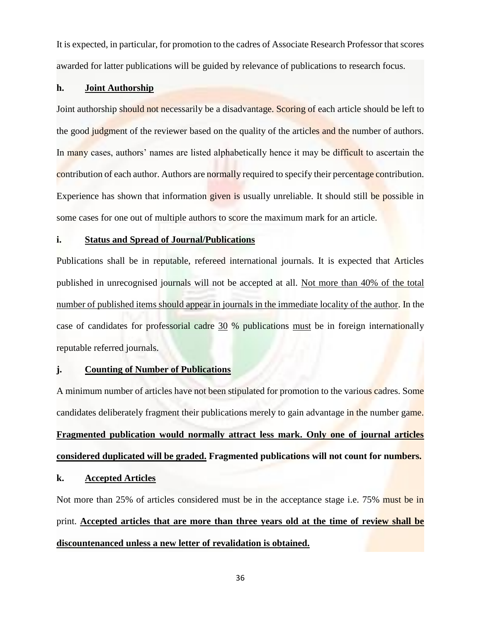It is expected, in particular, for promotion to the cadres of Associate Research Professor that scores awarded for latter publications will be guided by relevance of publications to research focus.

### **h. Joint Authorship**

Joint authorship should not necessarily be a disadvantage. Scoring of each article should be left to the good judgment of the reviewer based on the quality of the articles and the number of authors. In many cases, authors' names are listed alphabetically hence it may be difficult to ascertain the contribution of each author. Authors are normally required to specify their percentage contribution. Experience has shown that information given is usually unreliable. It should still be possible in some cases for one out of multiple authors to score the maximum mark for an article.

### **i. Status and Spread of Journal/Publications**

Publications shall be in reputable, refereed international journals. It is expected that Articles published in unrecognised journals will not be accepted at all. Not more than 40% of the total number of published items should appear in journals in the immediate locality of the author. In the case of candidates for professorial cadre 30 % publications must be in foreign internationally reputable referred journals.

### **j. Counting of Number of Publications**

A minimum number of articles have not been stipulated for promotion to the various cadres. Some candidates deliberately fragment their publications merely to gain advantage in the number game. **Fragmented publication would normally attract less mark. Only one of journal articles considered duplicated will be graded. Fragmented publications will not count for numbers.** 

### **k. Accepted Articles**

Not more than 25% of articles considered must be in the acceptance stage i.e. 75% must be in print. **Accepted articles that are more than three years old at the time of review shall be discountenanced unless a new letter of revalidation is obtained.**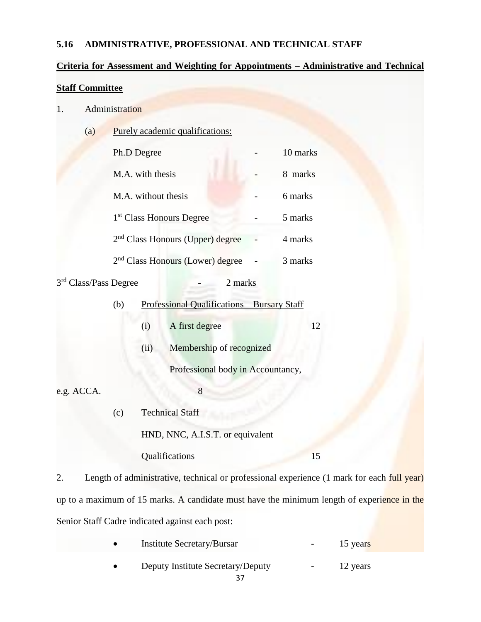### **5.16 ADMINISTRATIVE, PROFESSIONAL AND TECHNICAL STAFF**

### **Criteria for Assessment and Weighting for Appointments – Administrative and Technical**

### **Staff Committee**

- 1. Administration
	- (a) Purely academic qualifications:

| Ph.D Degree                                  | 10 marks   |
|----------------------------------------------|------------|
| M.A. with thesis                             | marks<br>8 |
| M.A. without thesis                          | 6 marks    |
| 1 <sup>st</sup> Class Honours Degree         | 5 marks    |
| 2 <sup>nd</sup> Class Honours (Upper) degree | 4 marks    |
| 2 <sup>nd</sup> Class Honours (Lower) degree | 3 marks    |

3 rd Class/Pass Degree - 2 marks

| (b) | Professional Qualifications - Bursary Staff |                          |    |  |  |
|-----|---------------------------------------------|--------------------------|----|--|--|
|     | (i)                                         | A first degree           | 12 |  |  |
|     | (11)                                        | Membership of recognized |    |  |  |

Professional body in Accountancy,

e.g. ACCA. 8

- 
- (c) Technical Staff

HND, NNC, A.I.S.T. or equivalent

Qualifications 15

2. Length of administrative, technical or professional experience (1 mark for each full year) up to a maximum of 15 marks. A candidate must have the minimum length of experience in the Senior Staff Cadre indicated against each post:

| <b>Institute Secretary/Bursar</b> | $\sim$ 100 $\mu$ | 15 years |
|-----------------------------------|------------------|----------|
| Deputy Institute Secretary/Deputy | $\sim 100$       | 12 years |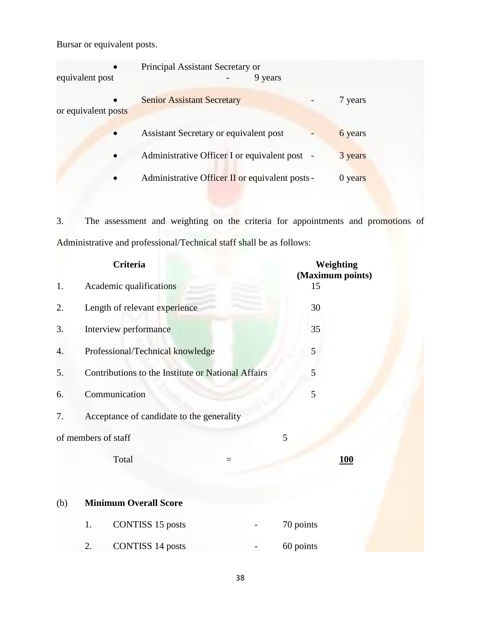Bursar or equivalent posts.

| $\bullet$<br>equivalent post     | Principal Assistant Secretary or<br>9 years     |           |
|----------------------------------|-------------------------------------------------|-----------|
| $\bullet$<br>or equivalent posts | <b>Senior Assistant Secretary</b>               | 7 years   |
| $\bullet$                        | Assistant Secretary or equivalent post          | 6 years   |
| $\bullet$                        | Administrative Officer I or equivalent post -   | 3 years   |
| $\bullet$                        | Administrative Officer II or equivalent posts - | $0$ years |

3. The assessment and weighting on the criteria for appointments and promotions of Administrative and professional/Technical staff shall be as follows:

|     | Criteria                                           | Weighting<br>(Maximum points) |            |
|-----|----------------------------------------------------|-------------------------------|------------|
| 1.  | Academic qualifications                            | 15                            |            |
| 2.  | Length of relevant experience                      | 30                            |            |
| 3.  | Interview performance                              | 35                            |            |
| 4.  | Professional/Technical knowledge                   | 5                             |            |
| 5.  | Contributions to the Institute or National Affairs | 5                             |            |
| 6.  | Communication                                      | 5                             |            |
| 7.  | Acceptance of candidate to the generality          |                               |            |
|     | of members of staff                                | 5                             |            |
|     | Total<br>$=$                                       |                               | <u>100</u> |
| (b) | <b>Minimum Overall Score</b>                       |                               |            |
|     | <b>CONTISS 15 posts</b><br>1.                      | 70 points                     |            |
|     | <b>CONTISS 14 posts</b><br>2.                      | 60 points                     |            |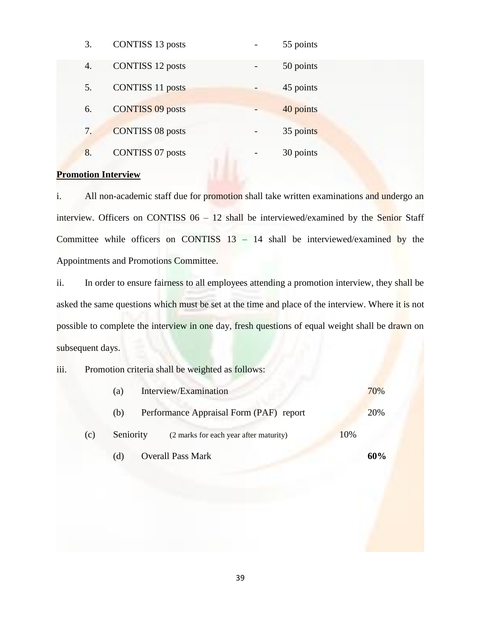| 3. | <b>CONTISS 13 posts</b> | 55 points |
|----|-------------------------|-----------|
| 4. | <b>CONTISS 12 posts</b> | 50 points |
| 5. | <b>CONTISS 11 posts</b> | 45 points |
| 6. | <b>CONTISS 09 posts</b> | 40 points |
| 7. | <b>CONTISS 08 posts</b> | 35 points |
| 8. | <b>CONTISS 07 posts</b> | 30 points |

### **Promotion Interview**

i. All non-academic staff due for promotion shall take written examinations and undergo an interview. Officers on CONTISS 06 – 12 shall be interviewed/examined by the Senior Staff Committee while officers on CONTISS  $13 - 14$  shall be interviewed/examined by the Appointments and Promotions Committee.

ii. In order to ensure fairness to all employees attending a promotion interview, they shall be asked the same questions which must be set at the time and place of the interview. Where it is not possible to complete the interview in one day, fresh questions of equal weight shall be drawn on subsequent days.

### iii. Promotion criteria shall be weighted as follows:

|                  | (a) | Interview/Examination                   |  | 70% |
|------------------|-----|-----------------------------------------|--|-----|
|                  | (b) | Performance Appraisal Form (PAF) report |  | 20% |
| Seniority<br>(c) |     | (2 marks for each year after maturity)  |  |     |
|                  | (d) | <b>Overall Pass Mark</b>                |  | 60% |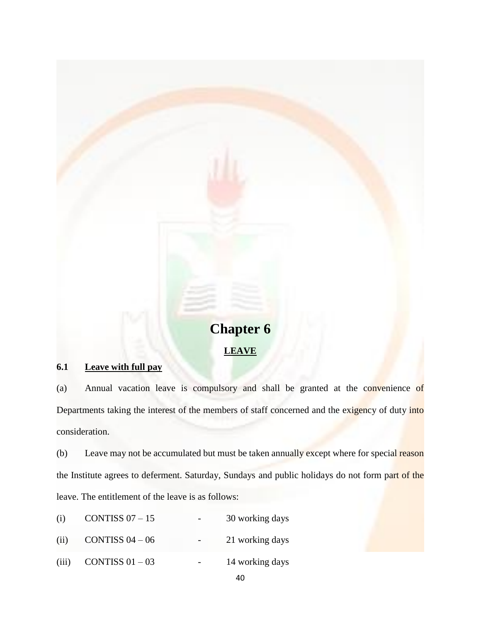# **Chapter 6 LEAVE**

### **6.1 Leave with full pay**

(a) Annual vacation leave is compulsory and shall be granted at the convenience of Departments taking the interest of the members of staff concerned and the exigency of duty into consideration.

(b) Leave may not be accumulated but must be taken annually except where for special reason the Institute agrees to deferment. Saturday, Sundays and public holidays do not form part of the leave. The entitlement of the leave is as follows:

| CONTISS $07 - 15$<br>(i) |  | 30 working days |
|--------------------------|--|-----------------|
|--------------------------|--|-----------------|

- (ii) CONTISS  $04 06$  21 working days
- (iii) CONTISS  $01 03$  14 working days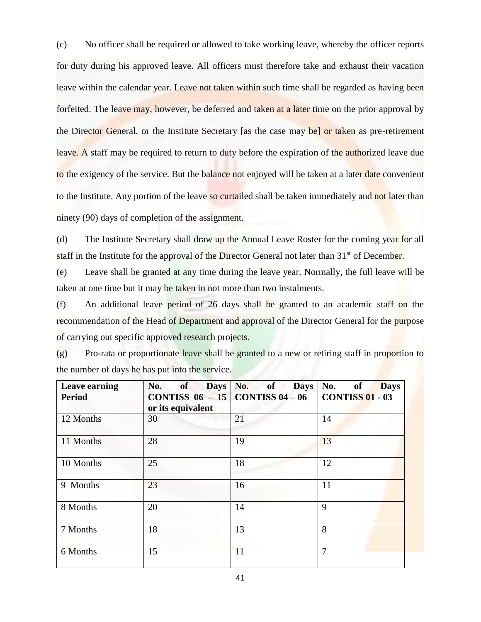(c) No officer shall be required or allowed to take working leave, whereby the officer reports for duty during his approved leave. All officers must therefore take and exhaust their vacation leave within the calendar year. Leave not taken within such time shall be regarded as having been forfeited. The leave may, however, be deferred and taken at a later time on the prior approval by the Director General, or the Institute Secretary [as the case may be] or taken as pre-retirement leave. A staff may be required to return to duty before the expiration of the authorized leave due to the exigency of the service. But the balance not enjoyed will be taken at a later date convenient to the Institute. Any portion of the leave so curtailed shall be taken immediately and not later than ninety (90) days of completion of the assignment.

(d) The Institute Secretary shall draw up the Annual Leave Roster for the coming year for all staff in the Institute for the approval of the Director General not later than  $31<sup>st</sup>$  of December.

(e) Leave shall be granted at any time during the leave year. Normally, the full leave will be taken at one time but it may be taken in not more than two instalments.

(f) An additional leave period of 26 days shall be granted to an academic staff on the recommendation of the Head of Department and approval of the Director General for the purpose of carrying out specific approved research projects.

| (g) | Pro-rata or proportionate leave shall be granted to a new or retiring staff in proportion to |  |  |  |  |
|-----|----------------------------------------------------------------------------------------------|--|--|--|--|
|     | the number of days he has put into the service.                                              |  |  |  |  |

| <b>Leave earning</b><br><b>Period</b> | No.<br>of<br>CONTISS $06 - 15$ CONTISS $04 - 06$<br>or its equivalent | Days No. of<br><b>Days</b> | No.<br>of<br><b>Days</b><br><b>CONTISS 01 - 03</b> |
|---------------------------------------|-----------------------------------------------------------------------|----------------------------|----------------------------------------------------|
| 12 Months                             | 30                                                                    | 21                         | 14                                                 |
| 11 Months                             | 28                                                                    | 19                         | 13                                                 |
| 10 Months                             | 25                                                                    | 18                         | 12                                                 |
| 9 Months                              | 23                                                                    | 16                         | 11                                                 |
| 8 Months                              | 20                                                                    | 14                         | 9                                                  |
| 7 Months                              | 18                                                                    | 13                         | 8                                                  |
| 6 Months                              | 15                                                                    | 11                         | $\overline{7}$                                     |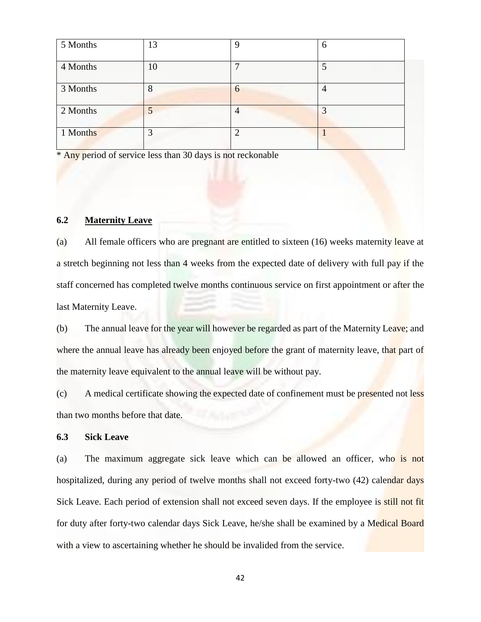| 5 Months | 13 | Q | 6              |
|----------|----|---|----------------|
| 4 Months | 10 |   | 5              |
| 3 Months | 8  | 6 | $\overline{4}$ |
| 2 Months |    |   | 3              |
| 1 Months | 3  | ി |                |

\* Any period of service less than 30 days is not reckonable

### **6.2 Maternity Leave**

(a) All female officers who are pregnant are entitled to sixteen (16) weeks maternity leave at a stretch beginning not less than 4 weeks from the expected date of delivery with full pay if the staff concerned has completed twelve months continuous service on first appointment or after the last Maternity Leave.

(b) The annual leave for the year will however be regarded as part of the Maternity Leave; and where the annual leave has already been enjoyed before the grant of maternity leave, that part of the maternity leave equivalent to the annual leave will be without pay.

(c) A medical certificate showing the expected date of confinement must be presented not less than two months before that date.

### **6.3 Sick Leave**

(a) The maximum aggregate sick leave which can be allowed an officer, who is not hospitalized, during any period of twelve months shall not exceed forty-two (42) calendar days Sick Leave. Each period of extension shall not exceed seven days. If the employee is still not fit for duty after forty-two calendar days Sick Leave, he/she shall be examined by a Medical Board with a view to ascertaining whether he should be invalided from the service.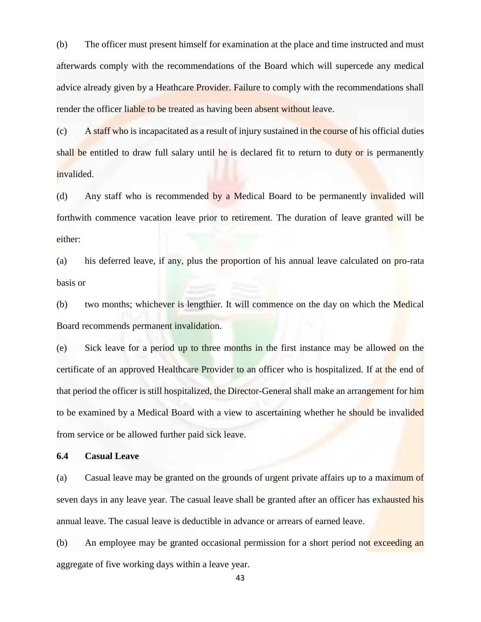(b) The officer must present himself for examination at the place and time instructed and must afterwards comply with the recommendations of the Board which will supercede any medical advice already given by a Heathcare Provider. Failure to comply with the recommendations shall render the officer liable to be treated as having been absent without leave.

(c) A staff who is incapacitated as a result of injury sustained in the course of his official duties shall be entitled to draw full salary until he is declared fit to return to duty or is permanently invalided.

(d) Any staff who is recommended by a Medical Board to be permanently invalided will forthwith commence vacation leave prior to retirement. The duration of leave granted will be either:

(a) his deferred leave, if any, plus the proportion of his annual leave calculated on pro-rata basis or

(b) two months; whichever is lengthier. It will commence on the day on which the Medical Board recommends permanent invalidation.

(e) Sick leave for a period up to three months in the first instance may be allowed on the certificate of an approved Healthcare Provider to an officer who is hospitalized. If at the end of that period the officer is still hospitalized, the Director-General shall make an arrangement for him to be examined by a Medical Board with a view to ascertaining whether he should be invalided from service or be allowed further paid sick leave.

### **6.4 Casual Leave**

(a) Casual leave may be granted on the grounds of urgent private affairs up to a maximum of seven days in any leave year. The casual leave shall be granted after an officer has exhausted his annual leave. The casual leave is deductible in advance or arrears of earned leave.

(b) An employee may be granted occasional permission for a short period not exceeding an aggregate of five working days within a leave year.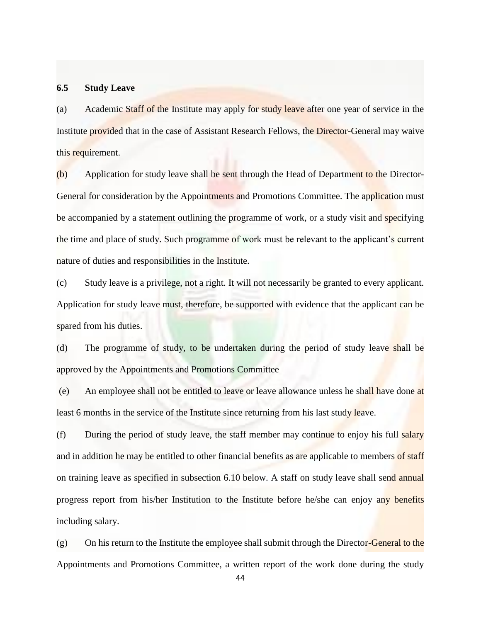### **6.5 Study Leave**

(a) Academic Staff of the Institute may apply for study leave after one year of service in the Institute provided that in the case of Assistant Research Fellows, the Director-General may waive this requirement.

(b) Application for study leave shall be sent through the Head of Department to the Director-General for consideration by the Appointments and Promotions Committee. The application must be accompanied by a statement outlining the programme of work, or a study visit and specifying the time and place of study. Such programme of work must be relevant to the applicant's current nature of duties and responsibilities in the Institute.

(c) Study leave is a privilege, not a right. It will not necessarily be granted to every applicant. Application for study leave must, therefore, be supported with evidence that the applicant can be spared from his duties.

(d) The programme of study, to be undertaken during the period of study leave shall be approved by the Appointments and Promotions Committee

(e) An employee shall not be entitled to leave or leave allowance unless he shall have done at least 6 months in the service of the Institute since returning from his last study leave.

 $(f)$  During the period of study leave, the staff member may continue to enjoy his full salary and in addition he may be entitled to other financial benefits as are applicable to members of staff on training leave as specified in subsection 6.10 below. A staff on study leave shall send annual progress report from his/her Institution to the Institute before he/she can enjoy any benefits including salary.

 $(g)$  On his return to the Institute the employee shall submit through the Director-General to the Appointments and Promotions Committee, a written report of the work done during the study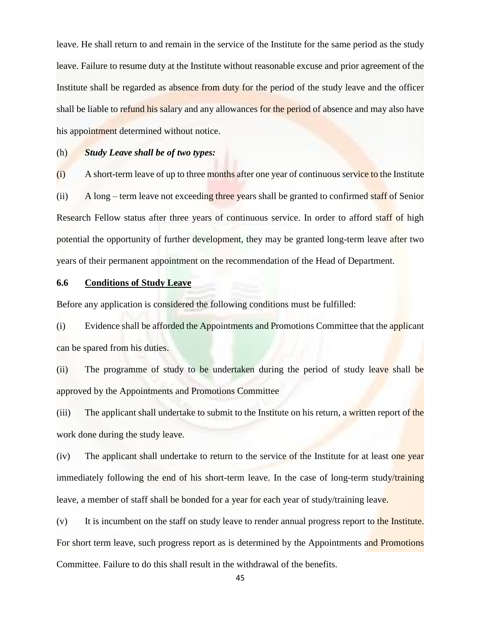leave. He shall return to and remain in the service of the Institute for the same period as the study leave. Failure to resume duty at the Institute without reasonable excuse and prior agreement of the Institute shall be regarded as absence from duty for the period of the study leave and the officer shall be liable to refund his salary and any allowances for the period of absence and may also have his appointment determined without notice.

### (h) *Study Leave shall be of two types:*

(i) A short-term leave of up to three months after one year of continuous service to the Institute (ii) A long – term leave not exceeding three years shall be granted to confirmed staff of Senior Research Fellow status after three years of continuous service. In order to afford staff of high potential the opportunity of further development, they may be granted long-term leave after two years of their permanent appointment on the recommendation of the Head of Department.

### **6.6 Conditions of Study Leave**

Before any application is considered the following conditions must be fulfilled:

(i) Evidence shall be afforded the Appointments and Promotions Committee that the applicant can be spared from his duties.

(ii) The programme of study to be undertaken during the period of study leave shall be approved by the Appointments and Promotions Committee

(iii) The applicant shall undertake to submit to the Institute on his return, a written report of the work done during the study leave.

(iv) The applicant shall undertake to return to the service of the Institute for at least one year immediately following the end of his short-term leave. In the case of long-term study/training leave, a member of staff shall be bonded for a year for each year of study/training leave.

 $(v)$  It is incumbent on the staff on study leave to render annual progress report to the Institute. For short term leave, such progress report as is determined by the Appointments and Promotions Committee. Failure to do this shall result in the withdrawal of the benefits.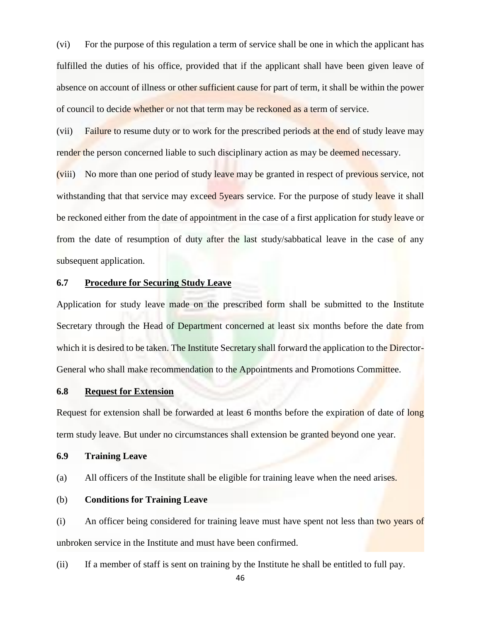(vi) For the purpose of this regulation a term of service shall be one in which the applicant has fulfilled the duties of his office, provided that if the applicant shall have been given leave of absence on account of illness or other sufficient cause for part of term, it shall be within the power of council to decide whether or not that term may be reckoned as a term of service.

(vii) Failure to resume duty or to work for the prescribed periods at the end of study leave may render the person concerned liable to such disciplinary action as may be deemed necessary.

(viii) No more than one period of study leave may be granted in respect of previous service, not withstanding that that service may exceed 5years service. For the purpose of study leave it shall be reckoned either from the date of appointment in the case of a first application for study leave or from the date of resumption of duty after the last study/sabbatical leave in the case of any subsequent application.

### **6.7 Procedure for Securing Study Leave**

Application for study leave made on the prescribed form shall be submitted to the Institute Secretary through the Head of Department concerned at least six months before the date from which it is desired to be taken. The Institute Secretary shall forward the application to the Director-General who shall make recommendation to the Appointments and Promotions Committee.

### **6.8 Request for Extension**

Request for extension shall be forwarded at least 6 months before the expiration of date of long term study leave. But under no circumstances shall extension be granted beyond one year.

### **6.9 Training Leave**

(a) All officers of the Institute shall be eligible for training leave when the need arises.

### (b) **Conditions for Training Leave**

(i) An officer being considered for training leave must have spent not less than two years of unbroken service in the Institute and must have been confirmed.

(ii) If a member of staff is sent on training by the Institute he shall be entitled to full pay.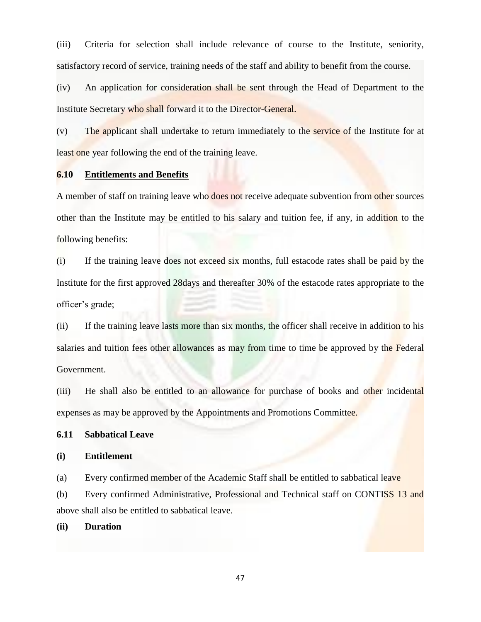(iii) Criteria for selection shall include relevance of course to the Institute, seniority, satisfactory record of service, training needs of the staff and ability to benefit from the course.

(iv) An application for consideration shall be sent through the Head of Department to the Institute Secretary who shall forward it to the Director-General.

(v) The applicant shall undertake to return immediately to the service of the Institute for at least one year following the end of the training leave.

### **6.10 Entitlements and Benefits**

A member of staff on training leave who **does not** receive adequate subvention from other sources other than the Institute may be entitled to his salary and tuition fee, if any, in addition to the following benefits:

(i) If the training leave does not exceed six months, full estacode rates shall be paid by the Institute for the first approved 28days and thereafter 30% of the estacode rates appropriate to the officer's grade;

(ii) If the training leave lasts more than six months, the officer shall receive in addition to his salaries and tuition fees other allowances as may from time to time be approved by the Federal Government.

(iii) He shall also be entitled to an allowance for purchase of books and other incidental expenses as may be approved by the Appointments and Promotions Committee.

### **6.11 Sabbatical Leave**

### **(i) Entitlement**

(a) Every confirmed member of the Academic Staff shall be entitled to sabbatical leave

(b) Every confirmed Administrative, Professional and Technical staff on CONTISS 13 and above shall also be entitled to sabbatical leave.

### **(ii) Duration**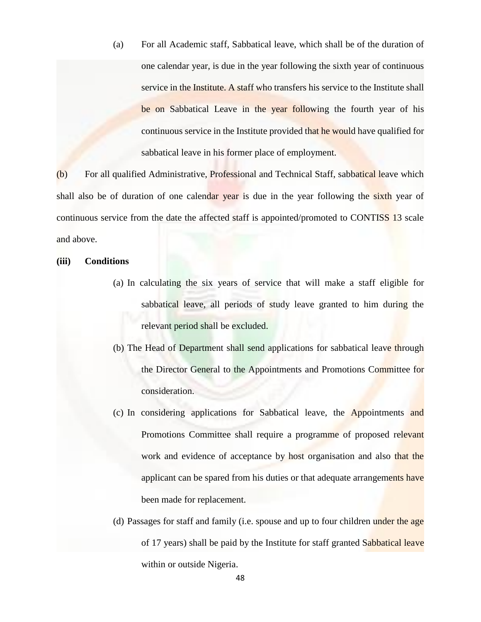(a) For all Academic staff, Sabbatical leave, which shall be of the duration of one calendar year, is due in the year following the sixth year of continuous service in the Institute. A staff who transfers his service to the Institute shall be on Sabbatical Leave in the year following the fourth year of his continuous service in the Institute provided that he would have qualified for sabbatical leave in his former place of employment.

(b) For all qualified Administrative, Professional and Technical Staff, sabbatical leave which shall also be of duration of one calendar year is due in the year following the sixth year of continuous service from the date the affected staff is appointed/promoted to CONTISS 13 scale and above.

### **(iii) Conditions**

- (a) In calculating the six years of service that will make a staff eligible for sabbatical leave, all periods of study leave granted to him during the relevant period shall be excluded.
- (b) The Head of Department shall send applications for sabbatical leave through the Director General to the Appointments and Promotions Committee for consideration.
- (c) In considering applications for Sabbatical leave, the Appointments and Promotions Committee shall require a programme of proposed relevant work and evidence of acceptance by host organisation and also that the applicant can be spared from his duties or that adequate arrangements have been made for replacement.
- (d) Passages for staff and family (i.e. spouse and up to four children under the age of 17 years) shall be paid by the Institute for staff granted Sabbatical leave within or outside Nigeria.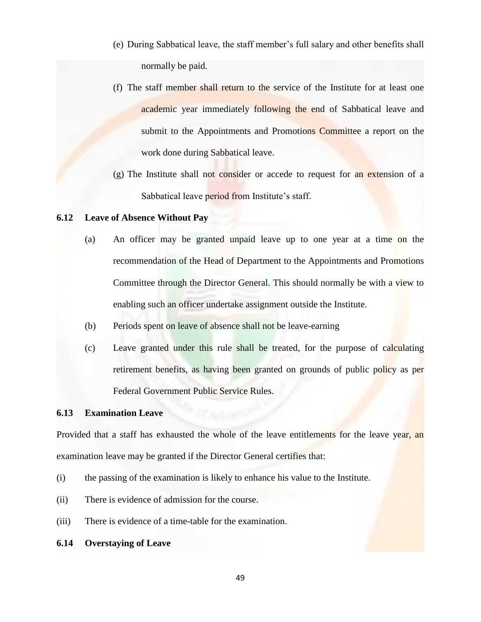- (e) During Sabbatical leave, the staff member's full salary and other benefits shall normally be paid.
- (f) The staff member shall return to the service of the Institute for at least one academic year immediately following the end of Sabbatical leave and submit to the Appointments and Promotions Committee a report on the work done during Sabbatical leave.
- $(g)$  The Institute shall not consider or accede to request for an extension of a Sabbatical leave period from Institute's staff.

### **6.12 Leave of Absence Without Pay**

- (a) An officer may be granted unpaid leave up to one year at a time on the recommendation of the Head of Department to the Appointments and Promotions Committee through the Director General. This should normally be with a view to enabling such an officer undertake assignment outside the Institute.
- (b) Periods spent on leave of absence shall not be leave-earning
- (c) Leave granted under this rule shall be treated, for the purpose of calculating retirement benefits, as having been granted on grounds of public policy as per Federal Government Public Service Rules.

### **6.13 Examination Leave**

Provided that a staff has exhausted the whole of the leave entitlements for the leave year, an examination leave may be granted if the Director General certifies that:

- (i) the passing of the examination is likely to enhance his value to the Institute.
- (ii) There is evidence of admission for the course.
- (iii) There is evidence of a time-table for the examination.

### **6.14 Overstaying of Leave**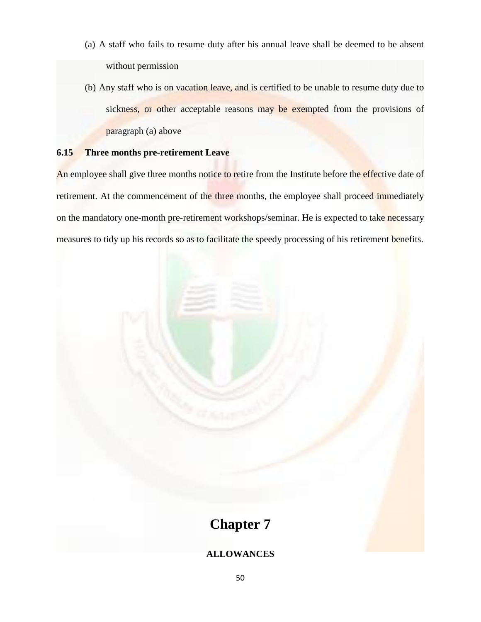- (a) A staff who fails to resume duty after his annual leave shall be deemed to be absent without permission
- (b) Any staff who is on vacation leave, and is certified to be unable to resume duty due to sickness, or other acceptable reasons may be exempted from the provisions of paragraph (a) above

### **6.15 Three months pre-retirement Leave**

An employee shall give three months notice to retire from the Institute before the effective date of retirement. At the commencement of the three months, the employee shall proceed immediately on the mandatory one-month pre-retirement workshops/seminar. He is expected to take necessary measures to tidy up his records so as to facilitate the speedy processing of his retirement benefits.

# **Chapter 7 ALLOWANCES**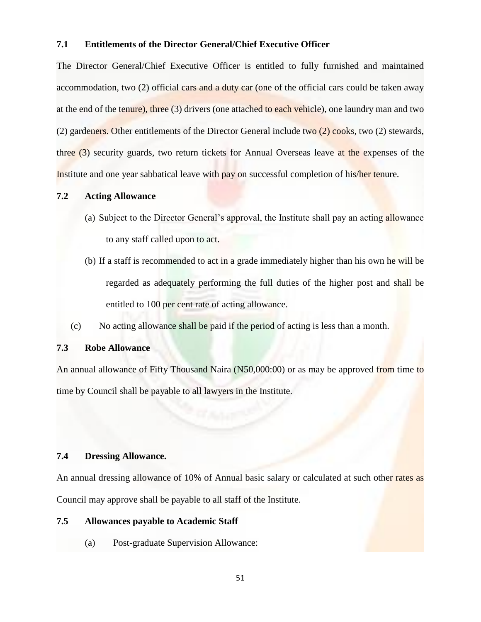### **7.1 Entitlements of the Director General/Chief Executive Officer**

The Director General/Chief Executive Officer is entitled to fully furnished and maintained accommodation, two (2) official cars and a duty car (one of the official cars could be taken away at the end of the tenure), three (3) drivers (one attached to each vehicle), one laundry man and two (2) gardeners. Other entitlements of the Director General include two (2) cooks, two (2) stewards, three (3) security guards, two return tickets for Annual Overseas leave at the expenses of the Institute and one year sabbatical leave with pay on successful completion of his/her tenure.

### **7.2 Acting Allowance**

- (a) Subject to the Director General's approval, the Institute shall pay an acting allowance to any staff called upon to act.
- (b) If a staff is recommended to act in a grade immediately higher than his own he will be regarded as adequately performing the full duties of the higher post and shall be entitled to 100 per cent rate of acting allowance.
- (c) No acting allowance shall be paid if the period of acting is less than a month.

### **7.3 Robe Allowance**

An annual allowance of Fifty Thousand Naira (N50,000:00) or as may be approved from time to time by Council shall be payable to all lawyers in the Institute.

### **7.4 Dressing Allowance.**

An annual dressing allowance of 10% of Annual basic salary or calculated at such other rates as Council may approve shall be payable to all staff of the Institute.

### **7.5 Allowances payable to Academic Staff**

(a) Post-graduate Supervision Allowance: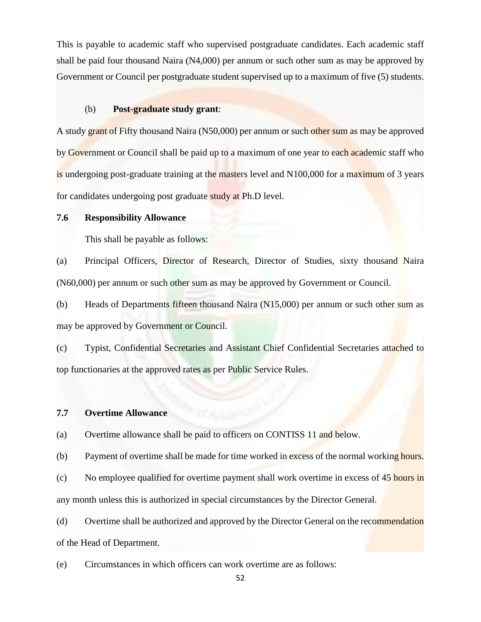This is payable to academic staff who supervised postgraduate candidates. Each academic staff shall be paid four thousand Naira (N4,000) per annum or such other sum as may be approved by Government or Council per postgraduate student supervised up to a maximum of five (5) students.

### (b) **Post-graduate study grant**:

A study grant of Fifty thousand Naira (N50,000) per annum or such other sum as may be approved by Government or Council shall be paid up to a maximum of one year to each academic staff who is undergoing post-graduate training at the masters level and N100,000 for a maximum of 3 years for candidates undergoing post graduate study at Ph.D level.

### **7.6 Responsibility Allowance**

This shall be payable as follows:

(a) Principal Officers, Director of Research, Director of Studies, sixty thousand Naira (N60,000) per annum or such other sum as may be approved by Government or Council.

(b) Heads of Departments fifteen thousand Naira (N15,000) per annum or such other sum as may be approved by Government or Council.

(c) Typist, Confidential Secretaries and Assistant Chief Confidential Secretaries attached to top functionaries at the approved rates as per Public Service Rules.

### **7.7 Overtime Allowance**

(a) Overtime allowance shall be paid to officers on CONTISS 11 and below.

(b) Payment of overtime shall be made for time worked in excess of the normal working hours.

(c) No employee qualified for overtime payment shall work overtime in excess of 45 hours in any month unless this is authorized in special circumstances by the Director General.

(d) Overtime shall be authorized and approved by the Director General on the recommendation of the Head of Department.

(e) Circumstances in which officers can work overtime are as follows: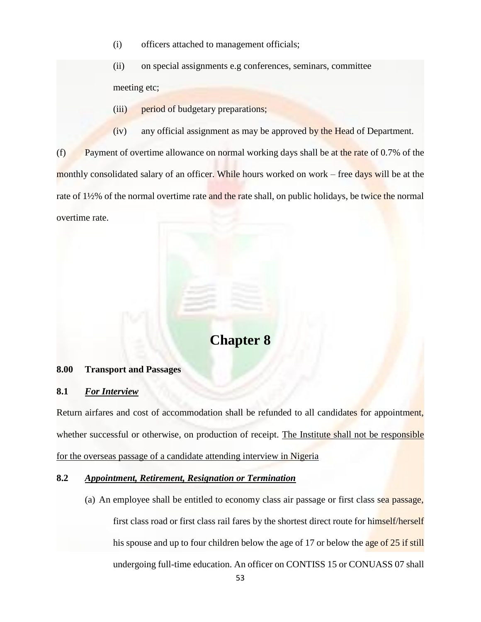(i) officers attached to management officials;

(ii) on special assignments e.g conferences, seminars, committee meeting etc;

- (iii) period of budgetary preparations;
- (iv) any official assignment as may be approved by the Head of Department.

(f) Payment of overtime allowance on normal working days shall be at the rate of 0.7% of the monthly consolidated salary of an officer. While hours worked on work – free days will be at the rate of 1½% of the normal overtime rate and the rate shall, on public holidays, be twice the normal overtime rate.

# **Chapter 8**

### **8.00 Transport and Passages**

### **8.1** *For Interview*

Return airfares and cost of accommodation shall be refunded to all candidates for appointment, whether successful or otherwise, on production of receipt. The Institute shall not be responsible for the overseas passage of a candidate attending interview in Nigeria

### **8.2** *Appointment, Retirement, Resignation or Termination*

(a) An employee shall be entitled to economy class air passage or first class sea passage, first class road or first class rail fares by the shortest direct route for himself/herself his spouse and up to four children below the age of 17 or below the age of 25 if still undergoing full-time education. An officer on CONTISS 15 or CONUASS 07 shall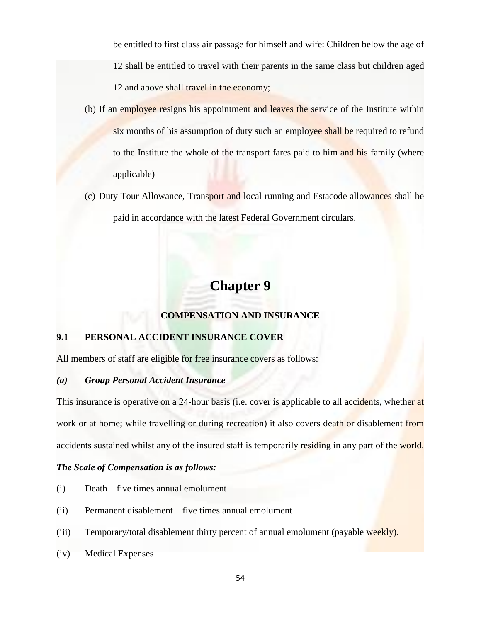be entitled to first class air passage for himself and wife: Children below the age of 12 shall be entitled to travel with their parents in the same class but children aged 12 and above shall travel in the economy;

- (b) If an employee resigns his appointment and leaves the service of the Institute within six months of his assumption of duty such an employee shall be required to refund to the Institute the whole of the transport fares paid to him and his family (where applicable)
- (c) Duty Tour Allowance, Transport and local running and Estacode allowances shall be paid in accordance with the latest Federal Government circulars.

# **Chapter 9**

### **COMPENSATION AND INSURANCE**

### **9.1 PERSONAL ACCIDENT INSURANCE COVER**

All members of staff are eligible for free insurance covers as follows:

### *(a) Group Personal Accident Insurance*

This insurance is operative on a 24-hour basis (i.e. cover is applicable to all accidents, whether at work or at home; while travelling or during recreation) it also covers death or disablement from accidents sustained whilst any of the insured staff is temporarily residing in any part of the world.

### *The Scale of Compensation is as follows:*

- (i) Death five times annual emolument
- (ii) Permanent disablement five times annual emolument
- (iii) Temporary/total disablement thirty percent of annual emolument (payable weekly).
- (iv) Medical Expenses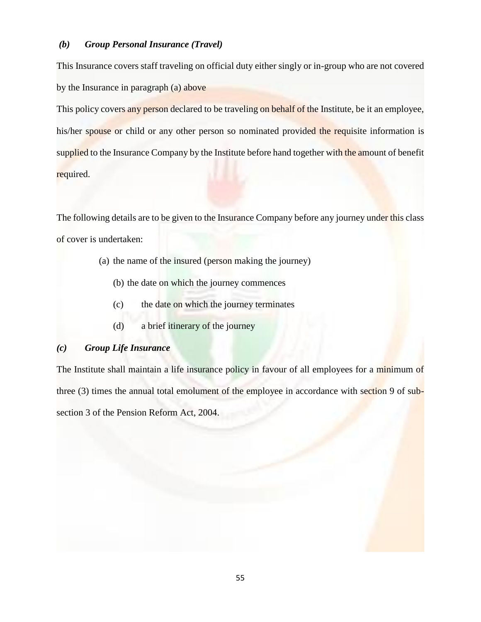### *(b) Group Personal Insurance (Travel)*

This Insurance covers staff traveling on official duty either singly or in-group who are not covered by the Insurance in paragraph (a) above

This policy covers any person declared to be traveling on behalf of the Institute, be it an employee, his/her spouse or child or any other person so nominated provided the requisite information is supplied to the Insurance Company by the Institute before hand together with the amount of benefit required.

The following details are to be given to the Insurance Company before any journey under this class of cover is undertaken:

- (a) the name of the insured (person making the journey)
	- (b) the date on which the journey commences
	- (c) the date on which the journey terminates
	- (d) a brief itinerary of the journey

### *(c) Group Life Insurance*

The Institute shall maintain a life insurance policy in favour of all employees for a minimum of three (3) times the annual total emolument of the employee in accordance with section 9 of subsection 3 of the Pension Reform Act, 2004.